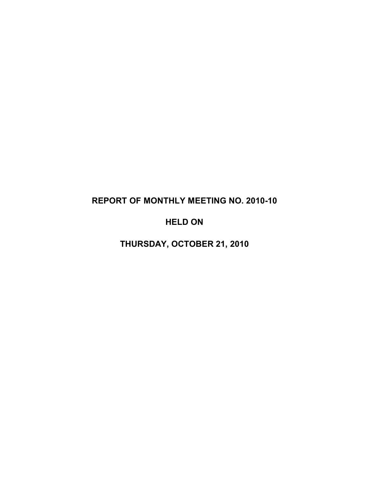# **REPORT OF MONTHLY MEETING NO. 2010-10**

# **HELD ON**

**THURSDAY, OCTOBER 21, 2010**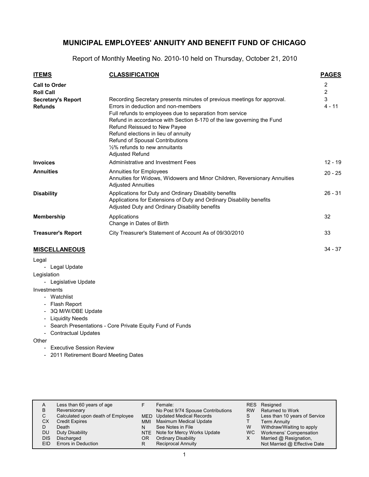Report of Monthly Meeting No. 2010-10 held on Thursday, October 21, 2010

| <b>ITEMS</b>                                | <b>CLASSIFICATION</b>                                                                                                                                                                                                                                                                                                                                                                                                        | <b>PAGES</b>  |
|---------------------------------------------|------------------------------------------------------------------------------------------------------------------------------------------------------------------------------------------------------------------------------------------------------------------------------------------------------------------------------------------------------------------------------------------------------------------------------|---------------|
| <b>Call to Order</b><br><b>Roll Call</b>    |                                                                                                                                                                                                                                                                                                                                                                                                                              | 2<br>2        |
| <b>Secretary's Report</b><br><b>Refunds</b> | Recording Secretary presents minutes of previous meetings for approval.<br>Errors in deduction and non-members<br>Full refunds to employees due to separation from service<br>Refund in accordance with Section 8-170 of the law governing the Fund<br>Refund Reissued to New Payee<br>Refund elections in lieu of annuity<br>Refund of Spousal Contributions<br>$1/2\%$ refunds to new annuitants<br><b>Adjusted Refund</b> | 3<br>$4 - 11$ |
| <b>Invoices</b>                             | Administrative and Investment Fees                                                                                                                                                                                                                                                                                                                                                                                           | $12 - 19$     |
| <b>Annuities</b>                            | Annuities for Employees<br>Annuities for Widows, Widowers and Minor Children, Reversionary Annuities<br><b>Adjusted Annuities</b>                                                                                                                                                                                                                                                                                            | $20 - 25$     |
| <b>Disability</b>                           | Applications for Duty and Ordinary Disability benefits<br>Applications for Extensions of Duty and Ordinary Disability benefits<br>Adjusted Duty and Ordinary Disability benefits                                                                                                                                                                                                                                             | $26 - 31$     |
| <b>Membership</b>                           | Applications<br>Change in Dates of Birth                                                                                                                                                                                                                                                                                                                                                                                     | 32            |
| <b>Treasurer's Report</b>                   | City Treasurer's Statement of Account As of 09/30/2010                                                                                                                                                                                                                                                                                                                                                                       | 33            |
| <b>MISCELLANEOUS</b>                        |                                                                                                                                                                                                                                                                                                                                                                                                                              | $34 - 37$     |

#### **MISCELLANEOUS**

Legal

- Legal Update

- Legislation
	- Legislative Update

Investments

- Watchlist
- Flash Report
- 3Q M/W/DBE Update
- Liquidity Needs
- Search Presentations Core Private Equity Fund of Funds
- Contractual Updates

**Other** 

- Executive Session Review
- 2011 Retirement Board Meeting Dates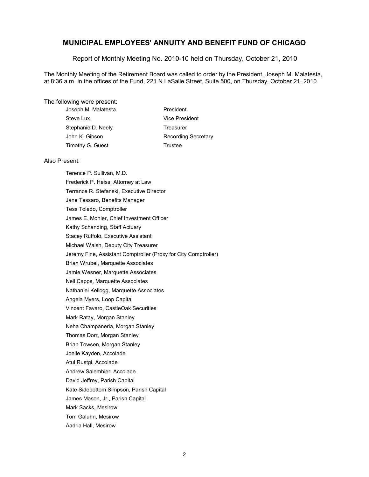Report of Monthly Meeting No. 2010-10 held on Thursday, October 21, 2010

The Monthly Meeting of the Retirement Board was called to order by the President, Joseph M. Malatesta, at 8:36 a.m. in the offices of the Fund, 221 N LaSalle Street, Suite 500, on Thursday, October 21, 2010.

#### The following were present:

| Joseph M. Malatesta | President                  |
|---------------------|----------------------------|
| Steve Lux           | Vice President             |
| Stephanie D. Neely  | Treasurer                  |
| John K. Gibson      | <b>Recording Secretary</b> |
| Timothy G. Guest    | Trustee                    |
|                     |                            |

#### Also Present:

Terence P. Sullivan, M.D. Frederick P. Heiss, Attorney at Law Terrance R. Stefanski, Executive Director Jane Tessaro, Benefits Manager Tess Toledo, Comptroller James E. Mohler, Chief Investment Officer Kathy Schanding, Staff Actuary Stacey Ruffolo, Executive Assistant Michael Walsh, Deputy City Treasurer Jeremy Fine, Assistant Comptroller (Proxy for City Comptroller) Brian Wrubel, Marquette Associates Jamie Wesner, Marquette Associates Neil Capps, Marquette Associates Nathaniel Kellogg, Marquette Associates Angela Myers, Loop Capital Vincent Favaro, CastleOak Securities Mark Ratay, Morgan Stanley Neha Champaneria, Morgan Stanley Thomas Dorr, Morgan Stanley Brian Towsen, Morgan Stanley Joelle Kayden, Accolade Atul Rustgi, Accolade Andrew Salembier, Accolade David Jeffrey, Parish Capital Kate Sidebottom Simpson, Parish Capital James Mason, Jr., Parish Capital Mark Sacks, Mesirow Tom Galuhn, Mesirow Aadria Hall, Mesirow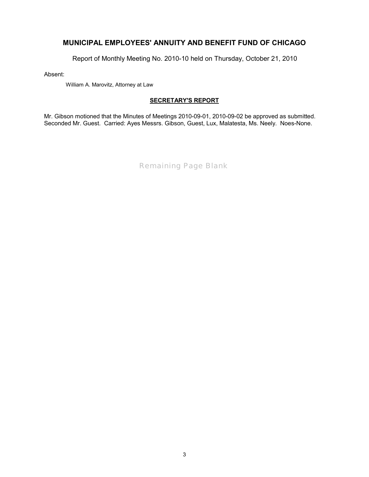Report of Monthly Meeting No. 2010-10 held on Thursday, October 21, 2010

Absent:

William A. Marovitz, Attorney at Law

### **SECRETARY'S REPORT**

Mr. Gibson motioned that the Minutes of Meetings 2010-09-01, 2010-09-02 be approved as submitted. Seconded Mr. Guest. Carried: Ayes Messrs. Gibson, Guest, Lux, Malatesta, Ms. Neely. Noes-None.

*Remaining Page Blank*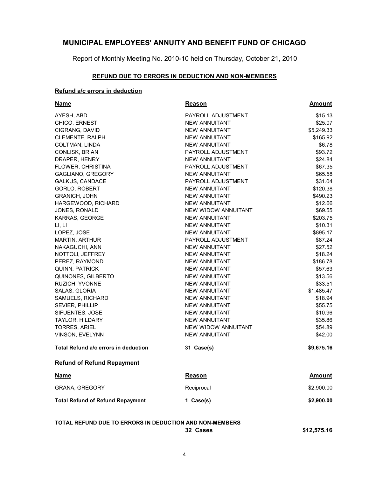Report of Monthly Meeting No. 2010-10 held on Thursday, October 21, 2010

#### **REFUND DUE TO ERRORS IN DEDUCTION AND NON-MEMBERS**

#### **Refund a/c errors in deduction**

| Name                                    | Reason               | Amount        |
|-----------------------------------------|----------------------|---------------|
| AYESH, ABD                              | PAYROLL ADJUSTMENT   | \$15.13       |
| CHICO, ERNEST                           | <b>NEW ANNUITANT</b> | \$25.07       |
| CIGRANG, DAVID                          | NEW ANNUITANT        | \$5,249.33    |
| <b>CLEMENTE, RALPH</b>                  | <b>NEW ANNUITANT</b> | \$165.92      |
| <b>COLTMAN, LINDA</b>                   | <b>NEW ANNUITANT</b> | \$6.78        |
| CONLISK, BRIAN                          | PAYROLL ADJUSTMENT   | \$93.72       |
| DRAPER, HENRY                           | <b>NEW ANNUITANT</b> | \$24.84       |
| FLOWER, CHRISTINA                       | PAYROLL ADJUSTMENT   | \$67.35       |
| GAGLIANO, GREGORY                       | NEW ANNUITANT        | \$65.58       |
| <b>GALKUS, CANDACE</b>                  | PAYROLL ADJUSTMENT   | \$31.04       |
| GORLO, ROBERT                           | <b>NEW ANNUITANT</b> | \$120.38      |
| <b>GRANICH, JOHN</b>                    | <b>NEW ANNUITANT</b> | \$490.23      |
| HARGEWOOD, RICHARD                      | <b>NEW ANNUITANT</b> | \$12.66       |
| JONES, RONALD                           | NEW WIDOW ANNUITANT  | \$69.55       |
| KARRAS, GEORGE                          | <b>NEW ANNUITANT</b> | \$203.75      |
| LI, LI                                  | <b>NEW ANNUITANT</b> | \$10.31       |
| LOPEZ, JOSE                             | <b>NEW ANNUITANT</b> | \$895.17      |
| MARTIN, ARTHUR                          | PAYROLL ADJUSTMENT   | \$87.24       |
| NAKAGUCHI, ANN                          | <b>NEW ANNUITANT</b> | \$27.52       |
| NOTTOLI, JEFFREY                        | <b>NEW ANNUITANT</b> | \$18.24       |
| PEREZ, RAYMOND                          | NEW ANNUITANT        | \$186.78      |
| QUINN, PATRICK                          | NEW ANNUITANT        | \$57.63       |
| QUINONES, GILBERTO                      | NEW ANNUITANT        | \$13.56       |
| RUZICH, YVONNE                          | <b>NEW ANNUITANT</b> | \$33.51       |
| SALAS, GLORIA                           | <b>NEW ANNUITANT</b> | \$1,485.47    |
| SAMUELS, RICHARD                        | NEW ANNUITANT        | \$18.94       |
| <b>SEVIER, PHILLIP</b>                  | <b>NEW ANNUITANT</b> | \$55.75       |
| SIFUENTES, JOSE                         | <b>NEW ANNUITANT</b> | \$10.96       |
| <b>TAYLOR, HILDARY</b>                  | <b>NEW ANNUITANT</b> | \$35.86       |
| <b>TORRES, ARIEL</b>                    | NEW WIDOW ANNUITANT  | \$54.89       |
| <b>VINSON, EVELYNN</b>                  | <b>NEW ANNUITANT</b> | \$42.00       |
| Total Refund a/c errors in deduction    | 31 Case(s)           | \$9,675.16    |
| <b>Refund of Refund Repayment</b>       |                      |               |
| <b>Name</b>                             | Reason               | <b>Amount</b> |
| <b>GRANA, GREGORY</b>                   | Reciprocal           | \$2,900.00    |
| <b>Total Refund of Refund Repayment</b> | 1 Case(s)            | \$2,900.00    |
|                                         |                      |               |

**TOTAL REFUND DUE TO ERRORS IN DEDUCTION AND NON-MEMBERS**

**32 Cases \$12,575.16**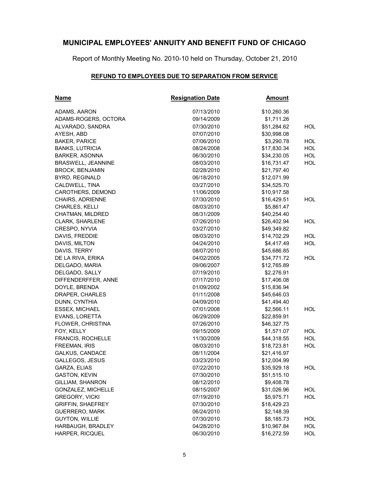Report of Monthly Meeting No. 2010-10 held on Thursday, October 21, 2010

### **REFUND TO EMPLOYEES DUE TO SEPARATION FROM SERVICE**

| <b>Name</b>               | <b>Resignation Date</b> | <b>Amount</b> |            |
|---------------------------|-------------------------|---------------|------------|
| ADAMS, AARON              | 07/13/2010              | \$10,260.36   |            |
| ADAMS-ROGERS, OCTORA      | 09/14/2009              | \$1,711.26    |            |
| ALVARADO, SANDRA          | 07/30/2010              | \$51,284.62   | <b>HOL</b> |
| AYESH, ABD                | 07/07/2010              | \$30,998.08   |            |
| <b>BAKER, PARICE</b>      | 07/06/2010              | \$3,290.78    | <b>HOL</b> |
| <b>BANKS, LUTRICIA</b>    | 08/24/2008              | \$17,830.34   | <b>HOL</b> |
| <b>BARKER, ASONNA</b>     | 06/30/2010              | \$34,230.05   | <b>HOL</b> |
| <b>BRASWELL, JEANNINE</b> | 08/03/2010              | \$16,731.47   | <b>HOL</b> |
| <b>BROCK, BENJAMIN</b>    | 02/28/2010              | \$21,797.40   |            |
| BYRD, REGINALD            | 06/18/2010              | \$12,071.99   |            |
| CALDWELL, TINA            | 03/27/2010              | \$34,525.70   |            |
| CAROTHERS, DEMOND         | 11/06/2009              | \$10,917.58   |            |
| CHAIRS, ADRIENNE          | 07/30/2010              | \$16,429.51   | <b>HOL</b> |
| <b>CHARLES, KELLI</b>     | 08/03/2010              | \$5,861.47    |            |
| CHATMAN, MILDRED          | 08/31/2009              | \$40,254.40   |            |
| <b>CLARK, SHARLENE</b>    | 07/26/2010              | \$26,402.94   | HOL        |
| CRESPO, NYVIA             | 03/27/2010              | \$49,349.82   |            |
| DAVIS, FREDDIE            | 08/03/2010              | \$14,702.29   | <b>HOL</b> |
| DAVIS, MILTON             | 04/24/2010              | \$4,417.49    | <b>HOL</b> |
| DAVIS, TERRY              | 08/07/2010              | \$45,686.85   |            |
| DE LA RIVA, ERIKA         | 04/02/2005              | \$34,771.72   | HOL.       |
| DELGADO, MARIA            | 09/06/2007              | \$12,765.89   |            |
| DELGADO, SALLY            | 07/19/2010              | \$2,276.91    |            |
| DIFFENDERFFER, ANNE       | 07/17/2010              | \$17,406.08   |            |
| DOYLE, BRENDA             | 01/09/2002              | \$15,836.94   |            |
| DRAPER, CHARLES           | 01/11/2008              | \$45,646.03   |            |
| DUNN, CYNTHIA             | 04/09/2010              | \$41,494.40   |            |
| <b>ESSEX, MICHAEL</b>     | 07/01/2008              | \$2,566.11    | <b>HOL</b> |
| EVANS, LORETTA            | 06/29/2009              | \$22,859.91   |            |
| FLOWER, CHRISTINA         | 07/26/2010              | \$46,327.75   |            |
| FOY, KELLY                | 09/15/2009              | \$1,571.07    | HOL.       |
| FRANCIS, ROCHELLE         | 11/30/2009              | \$44,318.55   | <b>HOL</b> |
| <b>FREEMAN, IRIS</b>      | 08/03/2010              | \$18,723.81   | <b>HOL</b> |
| <b>GALKUS, CANDACE</b>    | 08/11/2004              | \$21,416.97   |            |
| GALLEGOS, JESUS           | 03/23/2010              | \$12,004.99   |            |
| GARZA, ELIAS              | 07/22/2010              | \$35,929.18   | <b>HOL</b> |
| <b>GASTON, KEVIN</b>      | 07/30/2010              | \$51,515.10   |            |
| <b>GILLIAM, SHANRON</b>   | 08/12/2010              | \$9,408.78    |            |
| <b>GONZALEZ, MICHELLE</b> | 08/15/2007              | \$31,026.96   | <b>HOL</b> |
| <b>GREGORY, VICKI</b>     | 07/19/2010              | \$5,975.71    | <b>HOL</b> |
| <b>GRIFFIN, SHAEFREY</b>  | 07/30/2010              | \$18,429.23   |            |
| <b>GUERRERO, MARK</b>     | 06/24/2010              | \$2,148.39    |            |
| <b>GUYTON, WILLIE</b>     | 07/30/2010              | \$8,185.73    | <b>HOL</b> |
| HARBAUGH, BRADLEY         | 04/28/2010              | \$10,967.84   | HOL        |
| HARPER, RICQUEL           | 06/30/2010              | \$16,272.59   | <b>HOL</b> |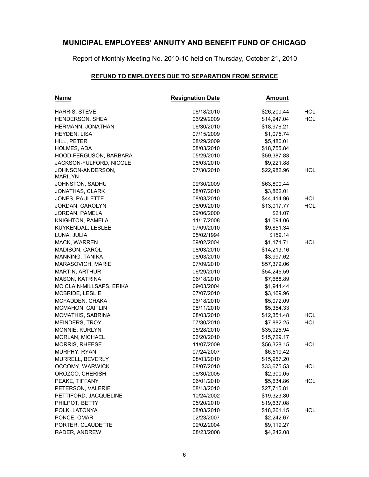Report of Monthly Meeting No. 2010-10 held on Thursday, October 21, 2010

### **REFUND TO EMPLOYEES DUE TO SEPARATION FROM SERVICE**

| <b>Name</b>                         | <b>Resignation Date</b> | <u>Amount</u> |            |
|-------------------------------------|-------------------------|---------------|------------|
| HARRIS, STEVE                       | 06/18/2010              | \$26,200.44   | <b>HOL</b> |
| <b>HENDERSON, SHEA</b>              | 06/29/2009              | \$14,947.04   | <b>HOL</b> |
| HERMANN, JONATHAN                   | 06/30/2010              | \$18,976.21   |            |
| HEYDEN, LISA                        | 07/15/2009              | \$1,075.74    |            |
| HILL, PETER                         | 08/29/2009              | \$5,480.01    |            |
| HOLMES, ADA                         | 08/03/2010              | \$18,755.84   |            |
| HOOD-FERGUSON, BARBARA              | 05/29/2010              | \$59,387.83   |            |
| JACKSON-FULFORD, NICOLE             | 08/03/2010              | \$9,221.88    |            |
| JOHNSON-ANDERSON,<br><b>MARILYN</b> | 07/30/2010              | \$22,982.96   | HOL        |
| JOHNSTON, SADHU                     | 09/30/2009              | \$63,800.44   |            |
| JONATHAS, CLARK                     | 08/07/2010              | \$3,862.01    |            |
| JONES, PAULETTE                     | 08/03/2010              | \$44,414.96   | <b>HOL</b> |
| JORDAN, CAROLYN                     | 08/09/2010              | \$13,017.77   | <b>HOL</b> |
| JORDAN, PAMELA                      | 09/06/2000              | \$21.07       |            |
| KNIGHTON, PAMELA                    | 11/17/2008              | \$1,094.06    |            |
| KUYKENDAL, LESLEE                   | 07/09/2010              | \$9,851.34    |            |
| LUNA, JULIA                         | 05/02/1994              | \$159.14      |            |
| MACK, WARREN                        | 09/02/2004              | \$1,171.71    | <b>HOL</b> |
| MADISON, CAROL                      | 08/03/2010              | \$14,213.16   |            |
| MANNING, TANIKA                     | 08/03/2010              | \$3,997.62    |            |
| MARASOVICH, MARIE                   | 07/09/2010              | \$57,379.06   |            |
| <b>MARTIN, ARTHUR</b>               | 06/29/2010              | \$54,245.59   |            |
| MASON, KATRINA                      | 06/18/2010              | \$7,688.89    |            |
| MC CLAIN-MILLSAPS, ERIKA            | 09/03/2004              | \$1,941.44    |            |
| MCBRIDE, LESLIE                     | 07/07/2010              | \$3,169.96    |            |
| MCFADDEN, CHAKA                     | 06/18/2010              | \$5,072.09    |            |
| MCMAHON, CAITLIN                    | 08/11/2010              | \$5,354.33    |            |
| MCMATHIS, SABRINA                   | 08/03/2010              | \$12,351.48   | HOL.       |
| MEINDERS, TROY                      | 07/30/2010              | \$7,882.25    | <b>HOL</b> |
| MONNIE, KURLYN                      | 05/28/2010              | \$35,925.94   |            |
| <b>MORLAN, MICHAEL</b>              | 06/20/2010              | \$15,729.17   |            |
| MORRIS, RHEESE                      | 11/07/2009              | \$56,328.15   | HOL        |
| MURPHY, RYAN                        | 07/24/2007              | \$6,519.42    |            |
| MURRELL, BEVERLY                    | 08/03/2010              | \$15,957.20   |            |
| OCCOMY, WARWICK                     | 08/07/2010              | \$33,675.53   | HOL.       |
| OROZCO, CHERISH                     | 06/30/2005              | \$2,300.05    |            |
| PEAKE, TIFFANY                      | 06/01/2010              | \$5,634.86    | <b>HOL</b> |
| PETERSON, VALERIE                   | 08/13/2010              | \$27,715.81   |            |
| PETTIFORD, JACQUELINE               | 10/24/2002              | \$19,323.80   |            |
| PHILPOT, BETTY                      | 05/20/2010              | \$19,637.08   |            |
| POLK, LATONYA                       | 08/03/2010              | \$18,261.15   | HOL        |
| PONCE, OMAR                         | 02/23/2007              | \$2,242.67    |            |
| PORTER, CLAUDETTE                   | 09/02/2004              | \$9,119.27    |            |
| RADER, ANDREW                       | 08/23/2008              | \$4,242.08    |            |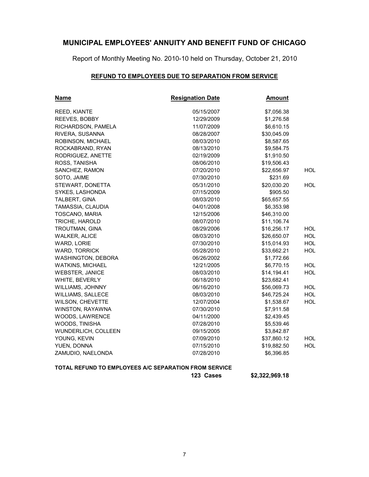Report of Monthly Meeting No. 2010-10 held on Thursday, October 21, 2010

#### **REFUND TO EMPLOYEES DUE TO SEPARATION FROM SERVICE**

| <b>Name</b>                                           | <b>Resignation Date</b> | <u>Amount</u> |            |
|-------------------------------------------------------|-------------------------|---------------|------------|
| REED, KIANTE                                          | 05/15/2007              | \$7,056.38    |            |
| REEVES, BOBBY                                         | 12/29/2009              | \$1,276.58    |            |
| RICHARDSON, PAMELA                                    | 11/07/2009              | \$6,610.15    |            |
| RIVERA, SUSANNA                                       | 08/28/2007              | \$30,045.09   |            |
| ROBINSON, MICHAEL                                     | 08/03/2010              | \$8,587.65    |            |
| ROCKABRAND, RYAN                                      | 08/13/2010              | \$9,584.75    |            |
| RODRIGUEZ, ANETTE                                     | 02/19/2009              | \$1,910.50    |            |
| ROSS, TANISHA                                         | 08/06/2010              | \$19,506.43   |            |
| SANCHEZ, RAMON                                        | 07/20/2010              | \$22,656.97   | <b>HOL</b> |
| SOTO, JAIME                                           | 07/30/2010              | \$231.69      |            |
| STEWART, DONETTA                                      | 05/31/2010              | \$20,030.20   | <b>HOL</b> |
| SYKES, LASHONDA                                       | 07/15/2009              | \$905.50      |            |
| TALBERT, GINA                                         | 08/03/2010              | \$65,657.55   |            |
| TAMASSIA, CLAUDIA                                     | 04/01/2008              | \$6,353.98    |            |
| TOSCANO, MARIA                                        | 12/15/2006              | \$46,310.00   |            |
| TRICHE, HAROLD                                        | 08/07/2010              | \$11,106.74   |            |
| TROUTMAN, GINA                                        | 08/29/2006              | \$16,256.17   | <b>HOL</b> |
| <b>WALKER, ALICE</b>                                  | 08/03/2010              | \$26,650.07   | <b>HOL</b> |
| WARD, LORIE                                           | 07/30/2010              | \$15,014.93   | <b>HOL</b> |
| WARD, TORRICK                                         | 05/28/2010              | \$33,662.21   | <b>HOL</b> |
| WASHINGTON, DEBORA                                    | 06/26/2002              | \$1,772.66    |            |
| <b>WATKINS, MICHAEL</b>                               | 12/21/2005              | \$6,770.15    | <b>HOL</b> |
| WEBSTER, JANICE                                       | 08/03/2010              | \$14,194.41   | <b>HOL</b> |
| WHITE, BEVERLY                                        | 06/18/2010              | \$23,682.41   |            |
| <b>WILLIAMS, JOHNNY</b>                               | 06/16/2010              | \$56,069.73   | <b>HOL</b> |
| <b>WILLIAMS, SALLECE</b>                              | 08/03/2010              | \$46,725.24   | <b>HOL</b> |
| WILSON, CHEVETTE                                      | 12/07/2004              | \$1,538.67    | HOL        |
| WINSTON, RAYAWNA                                      | 07/30/2010              | \$7,911.58    |            |
| WOODS, LAWRENCE                                       | 04/11/2000              | \$2,439.45    |            |
| WOODS, TINISHA                                        | 07/28/2010              | \$5,539.46    |            |
| WUNDERLICH, COLLEEN                                   | 09/15/2005              | \$3,842.87    |            |
| YOUNG, KEVIN                                          | 07/09/2010              | \$37,860.12   | <b>HOL</b> |
| YUEN, DONNA                                           | 07/15/2010              | \$19,882.50   | <b>HOL</b> |
| ZAMUDIO, NAELONDA                                     | 07/28/2010              | \$6,396.85    |            |
| TOTAL REFUND TO EMPLOYEES A/C SEPARATION FROM SERVICE |                         |               |            |

**123 Cases \$2,322,969.18**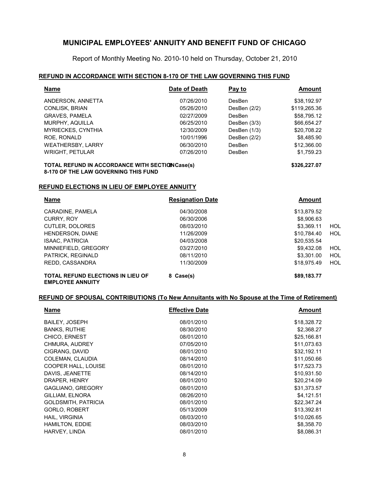Report of Monthly Meeting No. 2010-10 held on Thursday, October 21, 2010

#### **REFUND IN ACCORDANCE WITH SECTION 8-170 OF THE LAW GOVERNING THIS FUND**

| <b>Name</b>               | Date of Death | Pay to         | Amount       |
|---------------------------|---------------|----------------|--------------|
| ANDERSON, ANNETTA         | 07/26/2010    | DesBen         | \$38,192.97  |
| <b>CONLISK, BRIAN</b>     | 05/26/2010    | DesBen $(2/2)$ | \$119,265.36 |
| <b>GRAVES, PAMELA</b>     | 02/27/2009    | <b>DesBen</b>  | \$58,795.12  |
| MURPHY, AQUILLA           | 06/25/2010    | DesBen $(3/3)$ | \$66,654.27  |
| <b>MYRIECKES, CYNTHIA</b> | 12/30/2009    | DesBen (1/3)   | \$20,708.22  |
| ROE, RONALD               | 10/01/1996    | DesBen $(2/2)$ | \$8,485.90   |
| <b>WEATHERSBY, LARRY</b>  | 06/30/2010    | DesBen         | \$12,366.00  |
| <b>WRIGHT, PETULAR</b>    | 07/26/2010    | DesBen         | \$1,759.23   |
|                           |               |                |              |

#### **TOTAL REFUND IN ACCORDANCE WITH SECTION Case(s)**  $$326,227.07$ **8-170 OF THE LAW GOVERNING THIS FUND**

#### **REFUND ELECTIONS IN LIEU OF EMPLOYEE ANNUITY**

| <b>Name</b>                                                         | <b>Resignation Date</b> | <b>Amount</b> |     |
|---------------------------------------------------------------------|-------------------------|---------------|-----|
| CARADINE, PAMELA                                                    | 04/30/2008              | \$13,879.52   |     |
| <b>CURRY, ROY</b>                                                   | 06/30/2006              | \$8,906.63    |     |
| CUTLER, DOLORES                                                     | 08/03/2010              | \$3,369.11    | HOL |
| HENDERSON, DIANE                                                    | 11/26/2009              | \$10.784.40   | HOL |
| <b>ISAAC, PATRICIA</b>                                              | 04/03/2008              | \$20,535.54   |     |
| MINNIEFIELD, GREGORY                                                | 03/27/2010              | \$9,432.08    | HOL |
| PATRICK, REGINALD                                                   | 08/11/2010              | \$3,301.00    | HOL |
| REDD. CASSANDRA                                                     | 11/30/2009              | \$18,975.49   | HOL |
| <b>TOTAL REFUND ELECTIONS IN LIEU OF</b><br><b>EMPLOYEE ANNUITY</b> | 8 Case(s)               | \$89,183.77   |     |

#### **REFUND OF SPOUSAL CONTRIBUTIONS (To New Annuitants with No Spouse at the Time of Retirement)**

| <b>Name</b>                | <b>Effective Date</b> | <b>Amount</b> |
|----------------------------|-----------------------|---------------|
| <b>BAILEY, JOSEPH</b>      | 08/01/2010            | \$18,328.72   |
| <b>BANKS, RUTHIE</b>       | 08/30/2010            | \$2,368.27    |
| CHICO, ERNEST              | 08/01/2010            | \$25,166.81   |
| CHMURA, AUDREY             | 07/05/2010            | \$11,073.63   |
| CIGRANG, DAVID             | 08/01/2010            | \$32,192.11   |
| COLEMAN, CLAUDIA           | 08/14/2010            | \$11,050.66   |
| COOPER HALL, LOUISE        | 08/01/2010            | \$17,523.73   |
| DAVIS, JEANETTE            | 08/14/2010            | \$10,931.50   |
| DRAPER, HENRY              | 08/01/2010            | \$20,214.09   |
| GAGLIANO, GREGORY          | 08/01/2010            | \$31,373.57   |
| GILLIAM, ELNORA            | 08/26/2010            | \$4,121.51    |
| <b>GOLDSMITH, PATRICIA</b> | 08/01/2010            | \$22,347.24   |
| <b>GORLO, ROBERT</b>       | 05/13/2009            | \$13,392.81   |
| HAIL, VIRGINIA             | 08/03/2010            | \$10,026.65   |
| <b>HAMILTON, EDDIE</b>     | 08/03/2010            | \$8,358.70    |
| HARVEY, LINDA              | 08/01/2010            | \$8,086.31    |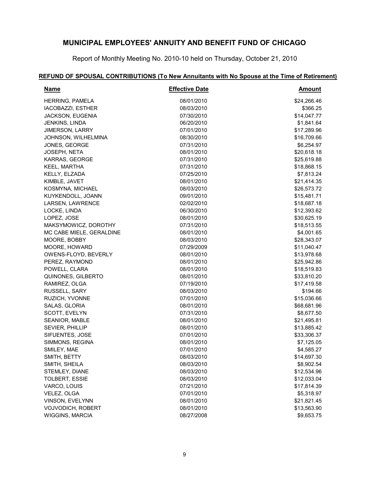Report of Monthly Meeting No. 2010-10 held on Thursday, October 21, 2010

### **REFUND OF SPOUSAL CONTRIBUTIONS (To New Annuitants with No Spouse at the Time of Retirement)**

| <b>Name</b>              | <b>Effective Date</b> | <b>Amount</b> |
|--------------------------|-----------------------|---------------|
| <b>HERRING, PAMELA</b>   | 08/01/2010            | \$24,266.46   |
| <b>IACOBAZZI, ESTHER</b> | 08/03/2010            | \$366.25      |
| JACKSON, EUGENIA         | 07/30/2010            | \$14,047.77   |
| JENKINS, LINDA           | 06/20/2010            | \$1,841.64    |
| <b>JIMERSON, LARRY</b>   | 07/01/2010            | \$17,289.96   |
| JOHNSON, WILHELMINA      | 08/30/2010            | \$16,709.66   |
| JONES, GEORGE            | 07/31/2010            | \$6,254.97    |
| <b>JOSEPH, NETA</b>      | 08/01/2010            | \$20,618.18   |
| KARRAS, GEORGE           | 07/31/2010            | \$25,619.88   |
| KEEL, MARTHA             | 07/31/2010            | \$18,868.15   |
| KELLY, ELZADA            | 07/25/2010            | \$7,813.24    |
| KIMBLE, JAVET            | 08/01/2010            | \$21,414.35   |
| KOSMYNA, MICHAEL         | 08/03/2010            | \$26,573.72   |
| KUYKENDOLL, JOANN        | 09/01/2010            | \$15,481.71   |
| LARSEN, LAWRENCE         | 02/02/2010            | \$18,687.18   |
| LOCKE, LINDA             | 06/30/2010            | \$12,393.62   |
| LOPEZ, JOSE              | 08/01/2010            | \$30,625.19   |
| MAKSYMOWICZ, DOROTHY     | 07/31/2010            | \$18,513.55   |
| MC CABE MIELE, GERALDINE | 08/01/2010            | \$4,001.65    |
| MOORE, BOBBY             | 08/03/2010            | \$28,343.07   |
| MOORE, HOWARD            | 07/29/2009            | \$11,040.47   |
| OWENS-FLOYD, BEVERLY     | 08/01/2010            | \$13,978.68   |
| PEREZ, RAYMOND           | 08/01/2010            | \$25,942.86   |
| POWELL, CLARA            | 08/01/2010            | \$18,519.83   |
| QUINONES, GILBERTO       | 08/01/2010            | \$33,810.20   |
| RAMIREZ, OLGA            | 07/19/2010            | \$17,419.58   |
| RUSSELL, SARY            | 08/03/2010            | \$194.66      |
| RUZICH, YVONNE           | 07/01/2010            | \$15,036.66   |
| SALAS, GLORIA            | 08/01/2010            | \$68,681.96   |
| SCOTT, EVELYN            | 07/31/2010            | \$8,677.50    |
| <b>SEANIOR, MABLE</b>    | 08/01/2010            | \$21,495.81   |
| <b>SEVIER, PHILLIP</b>   | 08/01/2010            | \$13,885.42   |
| SIFUENTES, JOSE          | 07/01/2010            | \$33,306.37   |
| SIMMONS, REGINA          | 08/01/2010            | \$7,125.05    |
| SMILEY, MAE              | 07/01/2010            | \$4,585.27    |
| SMITH, BETTY             | 08/03/2010            | \$14,697.30   |
| SMITH, SHEILA            | 08/03/2010            | \$8,902.54    |
| STEMLEY, DIANE           | 08/03/2010            | \$12,534.96   |
| <b>TOLBERT, ESSIE</b>    | 08/03/2010            | \$12,033.04   |
| VARCO, LOUIS             | 07/21/2010            | \$17,814.39   |
| VELEZ, OLGA              | 07/01/2010            | \$5,318.97    |
| VINSON, EVELYNN          | 08/01/2010            | \$21,821.45   |
| VOJVODICH, ROBERT        | 08/01/2010            | \$13,563.90   |
| WIGGINS, MARCIA          | 08/27/2008            | \$9,653.75    |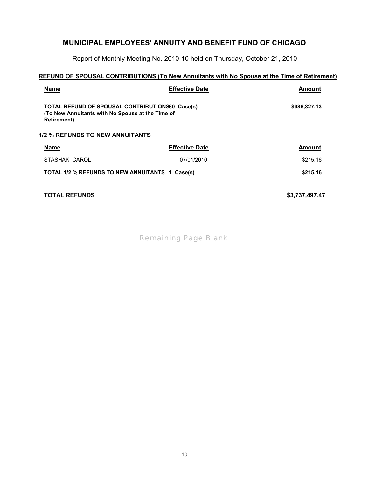Report of Monthly Meeting No. 2010-10 held on Thursday, October 21, 2010

### **REFUND OF SPOUSAL CONTRIBUTIONS (To New Annuitants with No Spouse at the Time of Retirement)**

| <b>Name</b>                                                                                                                       | <b>Effective Date</b> | Amount        |
|-----------------------------------------------------------------------------------------------------------------------------------|-----------------------|---------------|
| <b>TOTAL REFUND OF SPOUSAL CONTRIBUTIONS60 Case(s)</b><br>(To New Annuitants with No Spouse at the Time of<br><b>Retirement</b> ) |                       |               |
| <b>1/2 % REFUNDS TO NEW ANNUITANTS</b>                                                                                            |                       |               |
| <b>Name</b>                                                                                                                       | <b>Effective Date</b> | <b>Amount</b> |
| STASHAK, CAROL                                                                                                                    | 07/01/2010            | \$215.16      |
| TOTAL 1/2 % REFUNDS TO NEW ANNUITANTS 1 Case(s)                                                                                   |                       | \$215.16      |

**TOTAL REFUNDS \$3,737,497.47**

*Remaining Page Blank*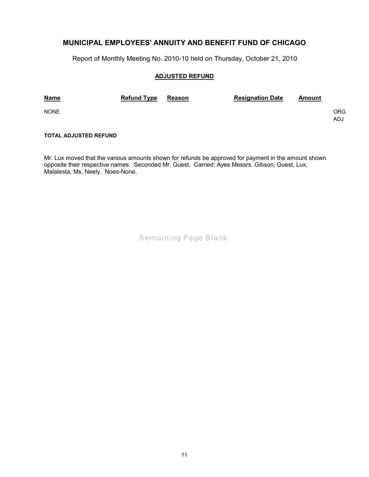Report of Monthly Meeting No. 2010-10 held on Thursday, October 21, 2010

#### **ADJUSTED REFUND**

| <b>Name</b> | <b>Refund Type</b> | Reason | <b>Resignation Date</b> | Amount |            |
|-------------|--------------------|--------|-------------------------|--------|------------|
| <b>NONE</b> |                    |        |                         |        | ORG<br>ADJ |

#### **TOTAL ADJUSTED REFUND**

Mr. Lux moved that the various amounts shown for refunds be approved for payment in the amount shown opposite their respective names. Seconded Mr. Guest. Carried: Ayes Messrs. Gibson, Guest, Lux, Malatesta, Ms. Neely. Noes-None.

*Remaining Page Blank*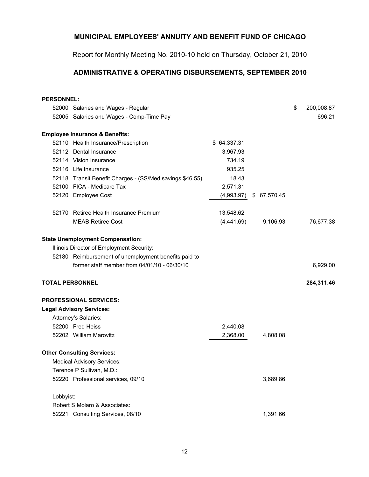Report for Monthly Meeting No. 2010-10 held on Thursday, October 21, 2010

## **[ADMINISTRATIVE & OPERATING DISBURSEMENTS, SEPTEMBER 2010](mailto:info@bfcoffee.com)**

| <b>PERSONNEL:</b>      |                                                          |             |              |                  |
|------------------------|----------------------------------------------------------|-------------|--------------|------------------|
|                        | 52000 Salaries and Wages - Regular                       |             |              | \$<br>200,008.87 |
|                        | 52005 Salaries and Wages - Comp-Time Pay                 |             |              | 696.21           |
|                        | <b>Employee Insurance &amp; Benefits:</b>                |             |              |                  |
|                        | 52110 Health Insurance/Prescription                      | \$64,337.31 |              |                  |
|                        | 52112 Dental Insurance                                   | 3,967.93    |              |                  |
|                        | 52114 Vision Insurance                                   | 734.19      |              |                  |
|                        | 52116 Life Insurance                                     | 935.25      |              |                  |
|                        | 52118 Transit Benefit Charges - (SS/Med savings \$46.55) | 18.43       |              |                  |
|                        | 52100 FICA - Medicare Tax                                | 2,571.31    |              |                  |
|                        | 52120 Employee Cost                                      | (4,993.97)  | \$ 67,570.45 |                  |
|                        | 52170 Retiree Health Insurance Premium                   | 13,548.62   |              |                  |
|                        | <b>MEAB Retiree Cost</b>                                 | (4,441.69)  | 9,106.93     | 76,677.38        |
|                        | <b>State Unemployment Compensation:</b>                  |             |              |                  |
|                        | Illinois Director of Employment Security:                |             |              |                  |
|                        | 52180 Reimbursement of unemployment benefits paid to     |             |              |                  |
|                        | former staff member from 04/01/10 - 06/30/10             |             |              | 6,929.00         |
| <b>TOTAL PERSONNEL</b> |                                                          |             |              | 284,311.46       |
|                        | <b>PROFESSIONAL SERVICES:</b>                            |             |              |                  |
|                        | <b>Legal Advisory Services:</b>                          |             |              |                  |
|                        | Attorney's Salaries:                                     |             |              |                  |
|                        | 52200 Fred Heiss                                         | 2,440.08    |              |                  |
|                        | 52202 William Marovitz                                   | 2,368.00    | 4,808.08     |                  |
|                        | <b>Other Consulting Services:</b>                        |             |              |                  |
|                        | <b>Medical Advisory Services:</b>                        |             |              |                  |
|                        | Terence P Sullivan, M.D.:                                |             |              |                  |
|                        | 52220 Professional services, 09/10                       |             | 3,689.86     |                  |
| Lobbyist:              |                                                          |             |              |                  |
|                        | Robert S Molaro & Associates:                            |             |              |                  |
|                        | 52221 Consulting Services, 08/10                         |             | 1,391.66     |                  |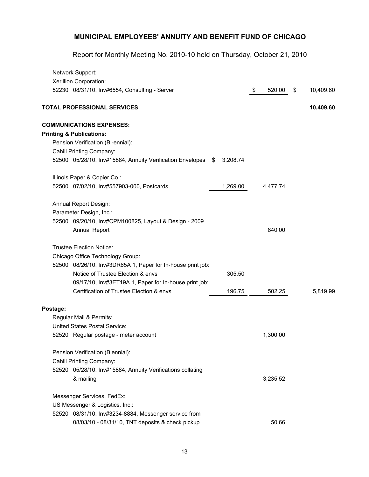|          | Network Support:                                             |          |              |                 |
|----------|--------------------------------------------------------------|----------|--------------|-----------------|
|          | Xerillion Corporation:                                       |          |              |                 |
|          | 52230 08/31/10, Inv#6554, Consulting - Server                |          | \$<br>520.00 | \$<br>10,409.60 |
|          | <b>TOTAL PROFESSIONAL SERVICES</b>                           |          |              | 10,409.60       |
|          | <b>COMMUNICATIONS EXPENSES:</b>                              |          |              |                 |
|          | <b>Printing &amp; Publications:</b>                          |          |              |                 |
|          | Pension Verification (Bi-ennial):                            |          |              |                 |
|          | Cahill Printing Company:                                     |          |              |                 |
|          | 52500 05/28/10, Inv#15884, Annuity Verification Envelopes \$ | 3,208.74 |              |                 |
|          | Illinois Paper & Copier Co.:                                 |          |              |                 |
|          | 52500 07/02/10, Inv#557903-000, Postcards                    | 1,269.00 | 4,477.74     |                 |
|          | Annual Report Design:                                        |          |              |                 |
|          | Parameter Design, Inc.:                                      |          |              |                 |
|          | 52500 09/20/10, Inv#CPM100825, Layout & Design - 2009        |          |              |                 |
|          | <b>Annual Report</b>                                         |          | 840.00       |                 |
|          | <b>Trustee Election Notice:</b>                              |          |              |                 |
|          | Chicago Office Technology Group:                             |          |              |                 |
|          | 52500 08/26/10, Inv#3DR65A 1, Paper for In-house print job:  |          |              |                 |
|          | Notice of Trustee Election & envs                            | 305.50   |              |                 |
|          | 09/17/10, Inv#3ET19A 1, Paper for In-house print job:        |          |              |                 |
|          | Certification of Trustee Election & envs                     | 196.75   | 502.25       | 5,819.99        |
| Postage: |                                                              |          |              |                 |
|          | Regular Mail & Permits:                                      |          |              |                 |
|          | <b>United States Postal Service:</b>                         |          |              |                 |
|          | 52520 Regular postage - meter account                        |          | 1,300.00     |                 |
|          | Pension Verification (Biennial):                             |          |              |                 |
|          | Cahill Printing Company:                                     |          |              |                 |
|          | 52520 05/28/10, Inv#15884, Annuity Verifications collating   |          |              |                 |
|          | & mailing                                                    |          | 3,235.52     |                 |
|          | Messenger Services, FedEx:                                   |          |              |                 |
|          | US Messenger & Logistics, Inc.:                              |          |              |                 |
|          | 52520 08/31/10, Inv#3234-8884, Messenger service from        |          |              |                 |
|          | 08/03/10 - 08/31/10, TNT deposits & check pickup             |          | 50.66        |                 |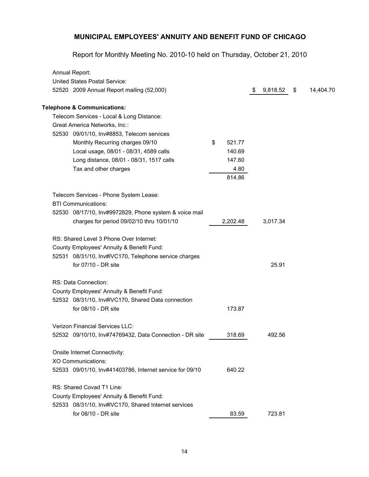| Annual Report:                                           |              |    |          |                 |
|----------------------------------------------------------|--------------|----|----------|-----------------|
| <b>United States Postal Service:</b>                     |              |    |          |                 |
| 52520 2009 Annual Report mailing (52,000)                |              | S. | 9,818.52 | \$<br>14,404.70 |
| <b>Telephone &amp; Communications:</b>                   |              |    |          |                 |
| Telecom Services - Local & Long Distance:                |              |    |          |                 |
| Great America Networks, Inc.:                            |              |    |          |                 |
| 52530 09/01/10, Inv#8853, Telecom services               |              |    |          |                 |
| Monthly Recurring charges 09/10                          | \$<br>521.77 |    |          |                 |
| Local usage, 08/01 - 08/31, 4589 calls                   | 140.69       |    |          |                 |
| Long distance, 08/01 - 08/31, 1517 calls                 | 147.60       |    |          |                 |
| Tax and other charges                                    | 4.80         |    |          |                 |
|                                                          | 814.86       |    |          |                 |
| Telecom Services - Phone System Lease:                   |              |    |          |                 |
| <b>BTI Communications:</b>                               |              |    |          |                 |
| 52530 08/17/10, Inv#9972829, Phone system & voice mail   |              |    |          |                 |
| charges for period 09/02/10 thru 10/01/10                | 2,202.48     |    | 3,017.34 |                 |
| RS: Shared Level 3 Phone Over Internet:                  |              |    |          |                 |
| County Employees' Annuity & Benefit Fund:                |              |    |          |                 |
| 52531 08/31/10, Inv#IVC170, Telephone service charges    |              |    |          |                 |
| for 07/10 - DR site                                      |              |    | 25.91    |                 |
| RS: Data Connection:                                     |              |    |          |                 |
| County Employees' Annuity & Benefit Fund:                |              |    |          |                 |
| 52532 08/31/10, Inv#IVC170, Shared Data connection       |              |    |          |                 |
| for 08/10 - DR site                                      | 173.87       |    |          |                 |
| <b>Verizon Financial Services LLC:</b>                   |              |    |          |                 |
| 52532 09/10/10, Inv#74769432, Data Connection - DR site  | 318.69       |    | 492.56   |                 |
| Onsite Internet Connectivity:                            |              |    |          |                 |
| XO Communications:                                       |              |    |          |                 |
| 52533 09/01/10, Inv#41403786, Internet service for 09/10 | 640.22       |    |          |                 |
| RS: Shared Covad T1 Line:                                |              |    |          |                 |
| County Employees' Annuity & Benefit Fund:                |              |    |          |                 |
| 52533 08/31/10, Inv#IVC170, Shared Internet services     |              |    |          |                 |
| for 08/10 - DR site                                      | 83.59        |    | 723.81   |                 |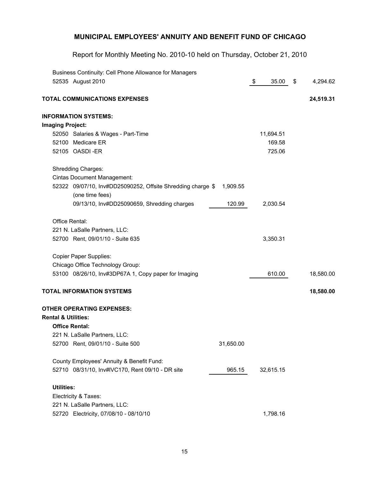|                                  | Business Continuity: Cell Phone Allowance for Managers                         |           |               |           |                |
|----------------------------------|--------------------------------------------------------------------------------|-----------|---------------|-----------|----------------|
| 52535 August 2010                |                                                                                |           | $\frac{1}{2}$ | 35.00     | \$<br>4,294.62 |
|                                  | <b>TOTAL COMMUNICATIONS EXPENSES</b>                                           |           |               |           | 24,519.31      |
| <b>INFORMATION SYSTEMS:</b>      |                                                                                |           |               |           |                |
| <b>Imaging Project:</b>          |                                                                                |           |               |           |                |
|                                  | 52050 Salaries & Wages - Part-Time                                             |           |               | 11,694.51 |                |
| 52100 Medicare ER                |                                                                                |           |               | 169.58    |                |
| 52105 OASDI-ER                   |                                                                                |           |               | 725.06    |                |
| Shredding Charges:               |                                                                                |           |               |           |                |
|                                  | Cintas Document Management:                                                    |           |               |           |                |
|                                  | 52322 09/07/10, Inv#DD25090252, Offsite Shredding charge \$<br>(one time fees) | 1,909.55  |               |           |                |
|                                  | 09/13/10, Inv#DD25090659, Shredding charges                                    | 120.99    |               | 2,030.54  |                |
| Office Rental:                   |                                                                                |           |               |           |                |
|                                  | 221 N. LaSalle Partners, LLC:                                                  |           |               |           |                |
|                                  | 52700 Rent, 09/01/10 - Suite 635                                               |           |               | 3,350.31  |                |
| <b>Copier Paper Supplies:</b>    |                                                                                |           |               |           |                |
|                                  | Chicago Office Technology Group:                                               |           |               |           |                |
|                                  | 53100 08/26/10, Inv#3DP67A 1, Copy paper for Imaging                           |           |               | 610.00    | 18,580.00      |
| <b>TOTAL INFORMATION SYSTEMS</b> |                                                                                |           |               |           | 18,580.00      |
| <b>OTHER OPERATING EXPENSES:</b> |                                                                                |           |               |           |                |
| <b>Rental &amp; Utilities:</b>   |                                                                                |           |               |           |                |
| <b>Office Rental:</b>            |                                                                                |           |               |           |                |
|                                  | 221 N. LaSalle Partners, LLC:                                                  |           |               |           |                |
|                                  | 52700 Rent, 09/01/10 - Suite 500                                               | 31,650.00 |               |           |                |
|                                  | County Employees' Annuity & Benefit Fund:                                      |           |               |           |                |
|                                  | 52710 08/31/10, Inv#IVC170, Rent 09/10 - DR site                               | 965.15    |               | 32,615.15 |                |
| <b>Utilities:</b>                |                                                                                |           |               |           |                |
| Electricity & Taxes:             |                                                                                |           |               |           |                |
|                                  | 221 N. LaSalle Partners, LLC:                                                  |           |               |           |                |
|                                  | 52720 Electricity, 07/08/10 - 08/10/10                                         |           |               | 1,798.16  |                |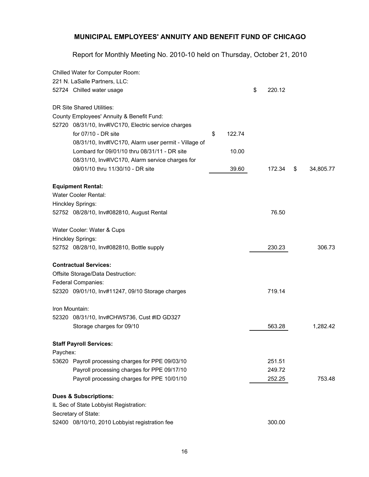|          | Chilled Water for Computer Room:                     |              |              |                 |
|----------|------------------------------------------------------|--------------|--------------|-----------------|
|          | 221 N. LaSalle Partners, LLC:                        |              |              |                 |
|          | 52724 Chilled water usage                            |              | \$<br>220.12 |                 |
|          | DR Site Shared Utilities:                            |              |              |                 |
|          | County Employees' Annuity & Benefit Fund:            |              |              |                 |
|          | 52720 08/31/10, Inv#IVC170, Electric service charges |              |              |                 |
|          | for $07/10$ - DR site                                | \$<br>122.74 |              |                 |
|          | 08/31/10, Inv#IVC170, Alarm user permit - Village of |              |              |                 |
|          | Lombard for 09/01/10 thru 08/31/11 - DR site         | 10.00        |              |                 |
|          | 08/31/10, Inv#IVC170, Alarm service charges for      |              |              |                 |
|          | 09/01/10 thru 11/30/10 - DR site                     | 39.60        | 172.34       | \$<br>34,805.77 |
|          | <b>Equipment Rental:</b>                             |              |              |                 |
|          | Water Cooler Rental:                                 |              |              |                 |
|          | Hinckley Springs:                                    |              |              |                 |
|          | 52752 08/28/10, Inv#082810, August Rental            |              | 76.50        |                 |
|          | Water Cooler: Water & Cups                           |              |              |                 |
|          | Hinckley Springs:                                    |              |              |                 |
|          | 52752 08/28/10, Inv#082810, Bottle supply            |              | 230.23       | 306.73          |
|          | <b>Contractual Services:</b>                         |              |              |                 |
|          | Offsite Storage/Data Destruction:                    |              |              |                 |
|          | Federal Companies:                                   |              |              |                 |
|          | 52320 09/01/10, Inv#11247, 09/10 Storage charges     |              | 719.14       |                 |
|          | Iron Mountain:                                       |              |              |                 |
|          | 52320 08/31/10, Inv#CHW5736, Cust #ID GD327          |              |              |                 |
|          | Storage charges for 09/10                            |              | 563.28       | 1,282.42        |
|          | <b>Staff Payroll Services:</b>                       |              |              |                 |
| Paychex: |                                                      |              |              |                 |
|          | 53620 Payroll processing charges for PPE 09/03/10    |              | 251.51       |                 |
|          | Payroll processing charges for PPE 09/17/10          |              | 249.72       |                 |
|          | Payroll processing charges for PPE 10/01/10          |              | 252.25       | 753.48          |
|          | <b>Dues &amp; Subscriptions:</b>                     |              |              |                 |
|          | IL Sec of State Lobbyist Registration:               |              |              |                 |
|          | Secretary of State:                                  |              |              |                 |
|          | 52400 08/10/10, 2010 Lobbyist registration fee       |              | 300.00       |                 |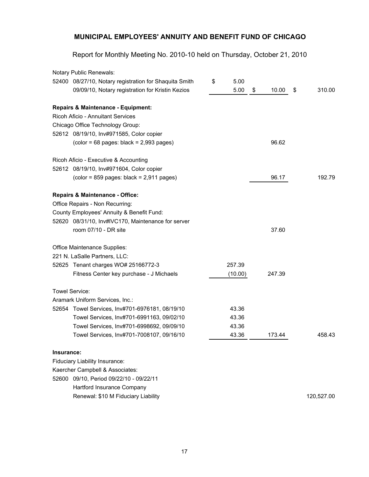|            | Notary Public Renewals:                                                      |            |             |              |
|------------|------------------------------------------------------------------------------|------------|-------------|--------------|
|            | 52400 08/27/10, Notary registration for Shaquita Smith                       | \$<br>5.00 |             |              |
|            | 09/09/10, Notary registration for Kristin Kezios                             | 5.00       | \$<br>10.00 | \$<br>310.00 |
|            | Repairs & Maintenance - Equipment:                                           |            |             |              |
|            | <b>Ricoh Aficio - Annuitant Services</b>                                     |            |             |              |
|            | Chicago Office Technology Group:                                             |            |             |              |
|            | 52612 08/19/10, Inv#971585, Color copier                                     |            |             |              |
|            | $\left(\text{color} = 68 \text{ pages: black} = 2,993 \text{ pages}\right)$  |            | 96.62       |              |
|            | Ricoh Aficio - Executive & Accounting                                        |            |             |              |
|            | 52612 08/19/10, Inv#971604, Color copier                                     |            |             |              |
|            | $\left(\text{color} = 859 \text{ pages: black} = 2,911 \text{ pages}\right)$ |            | 96.17       | 192.79       |
|            | <b>Repairs &amp; Maintenance - Office:</b>                                   |            |             |              |
|            | Office Repairs - Non Recurring:                                              |            |             |              |
|            | County Employees' Annuity & Benefit Fund:                                    |            |             |              |
|            | 52620 08/31/10, Inv#IVC170, Maintenance for server                           |            |             |              |
|            | room 07/10 - DR site                                                         |            | 37.60       |              |
|            | Office Maintenance Supplies:                                                 |            |             |              |
|            | 221 N. LaSalle Partners, LLC:                                                |            |             |              |
|            | 52625 Tenant charges WO# 25166772-3                                          | 257.39     |             |              |
|            | Fitness Center key purchase - J Michaels                                     | (10.00)    | 247.39      |              |
|            | <b>Towel Service:</b>                                                        |            |             |              |
|            | Aramark Uniform Services, Inc.:                                              |            |             |              |
|            | 52654 Towel Services, Inv#701-6976181, 08/19/10                              | 43.36      |             |              |
|            | Towel Services, Inv#701-6991163, 09/02/10                                    | 43.36      |             |              |
|            | Towel Services, Inv#701-6998692, 09/09/10                                    | 43.36      |             |              |
|            | Towel Services, Inv#701-7008107, 09/16/10                                    | 43.36      | 173.44      | 458.43       |
| Insurance: |                                                                              |            |             |              |
|            | Fiduciary Liability Insurance:                                               |            |             |              |
|            | Kaercher Campbell & Associates:                                              |            |             |              |
|            | 52600 09/10, Period 09/22/10 - 09/22/11                                      |            |             |              |
|            | Hartford Insurance Company                                                   |            |             |              |
|            | Renewal: \$10 M Fiduciary Liability                                          |            |             | 120,527.00   |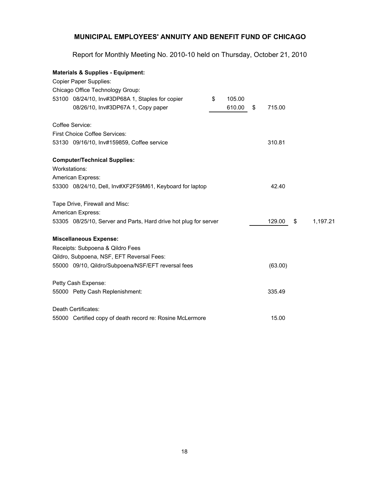| <b>Materials &amp; Supplies - Equipment:</b>                     |              |              |                |
|------------------------------------------------------------------|--------------|--------------|----------------|
| <b>Copier Paper Supplies:</b>                                    |              |              |                |
| Chicago Office Technology Group:                                 |              |              |                |
| 53100 08/24/10, Inv#3DP68A 1, Staples for copier                 | \$<br>105.00 |              |                |
| 08/26/10, Inv#3DP67A 1, Copy paper                               | 610.00       | \$<br>715.00 |                |
| Coffee Service:                                                  |              |              |                |
| <b>First Choice Coffee Services:</b>                             |              |              |                |
| 53130 09/16/10, Inv#159859, Coffee service                       |              | 310.81       |                |
| <b>Computer/Technical Supplies:</b>                              |              |              |                |
| Workstations:                                                    |              |              |                |
| American Express:                                                |              |              |                |
| 53300 08/24/10, Dell, Inv#XF2F59M61, Keyboard for laptop         |              | 42.40        |                |
| Tape Drive, Firewall and Misc:                                   |              |              |                |
| American Express:                                                |              |              |                |
| 53305 08/25/10, Server and Parts, Hard drive hot plug for server |              | 129.00       | \$<br>1,197.21 |
| <b>Miscellaneous Expense:</b>                                    |              |              |                |
| Receipts: Subpoena & Qildro Fees                                 |              |              |                |
| Qildro, Subpoena, NSF, EFT Reversal Fees:                        |              |              |                |
| 55000 09/10, Qildro/Subpoena/NSF/EFT reversal fees               |              | (63.00)      |                |
| Petty Cash Expense:                                              |              |              |                |
| 55000 Petty Cash Replenishment:                                  |              | 335.49       |                |
| Death Certificates:                                              |              |              |                |
| 55000 Certified copy of death record re: Rosine McLermore        |              | 15.00        |                |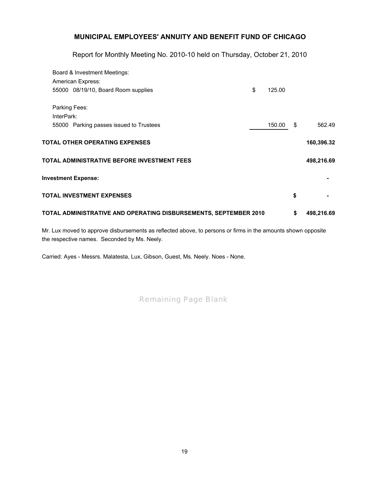Report for Monthly Meeting No. 2010-10 held on Thursday, October 21, 2010

| Board & Investment Meetings:                                     |              |                  |
|------------------------------------------------------------------|--------------|------------------|
| <b>American Express:</b>                                         |              |                  |
| 55000 08/19/10, Board Room supplies                              | \$<br>125.00 |                  |
| Parking Fees:                                                    |              |                  |
| InterPark:                                                       |              |                  |
| 55000 Parking passes issued to Trustees                          | 150.00       | \$<br>562.49     |
| <b>TOTAL OTHER OPERATING EXPENSES</b>                            |              | 160,396.32       |
| TOTAL ADMINISTRATIVE BEFORE INVESTMENT FEES                      |              | 498,216.69       |
| <b>Investment Expense:</b>                                       |              |                  |
| <b>TOTAL INVESTMENT EXPENSES</b>                                 |              | \$               |
| TOTAL ADMINISTRATIVE AND OPERATING DISBURSEMENTS, SEPTEMBER 2010 |              | \$<br>498,216.69 |

Mr. Lux moved to approve disbursements as reflected above, to [pers](mailto:info@bfcoffee.com)ons or firms in the amounts shown opposite the respective names. Seconded by Ms. Neely.

Carried: Ayes - Messrs. Malatesta, Lux, Gibson, Guest, Ms. Neel[y. N](mailto:info@bfcoffee.com)oes - None.

*Remaining Page Blank*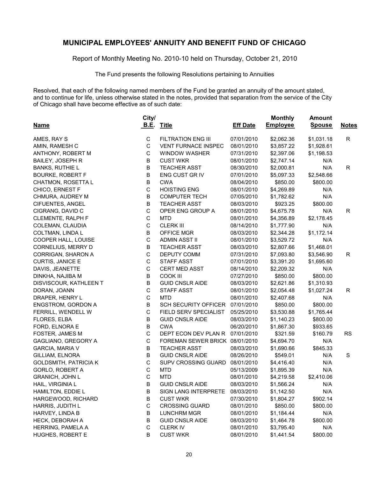Report of Monthly Meeting No. 2010-10 held on Thursday, October 21, 2010

The Fund presents the following Resolutions pertaining to Annuities

Resolved, that each of the following named members of the Fund be granted an annuity of the amount stated, and to continue for life, unless otherwise stated in the notes, provided that separation from the service of the City of Chicago shall have become effective as of such date:

|                              | City/       |                                |                 | <b>Monthly</b>  | <b>Amount</b> |              |
|------------------------------|-------------|--------------------------------|-----------------|-----------------|---------------|--------------|
| <b>Name</b>                  | <b>B.E.</b> | <b>Title</b>                   | <b>Eff Date</b> | <b>Employee</b> | <b>Spouse</b> | <b>Notes</b> |
| AMES, RAY S                  | C           | <b>FILTRATION ENG III</b>      | 07/01/2010      | \$2,062.36      | \$1,031.18    | R            |
| AMIN, RAMESH C               | С           | <b>VENT FURNACE INSPEC</b>     | 08/01/2010      | \$3,857.22      | \$1,928.61    |              |
| ANTHONY, ROBERT M            | С           | <b>WINDOW WASHER</b>           | 07/31/2010      | \$2,397.06      | \$1,198.53    |              |
| <b>BAILEY, JOSEPH R</b>      | B           | <b>CUST WKR</b>                | 08/01/2010      | \$2,747.14      | N/A           |              |
| <b>BANKS, RUTHIE L</b>       | B           | <b>TEACHER ASST</b>            | 08/30/2010      | \$2,000.81      | N/A           | R            |
| <b>BOURKE, ROBERT F</b>      | B           | ENG CUST GR IV                 | 07/01/2010      | \$5,097.33      | \$2,548.66    |              |
| CHATMON, ROSETTA L           | B           | <b>CWA</b>                     | 08/04/2010      | \$850.00        | \$800.00      |              |
| CHICO, ERNEST F              | $\mathsf C$ | <b>HOISTING ENG</b>            | 08/01/2010      | \$4,269.89      | N/A           |              |
| CHMURA, AUDREY M             | B           | <b>COMPUTER TECH</b>           | 07/05/2010      | \$1,782.62      | N/A           |              |
| CIFUENTES, ANGEL             | B           | <b>TEACHER ASST</b>            | 08/03/2010      | \$923.25        | \$800.00      |              |
| CIGRANG, DAVID C             | C           | OPER ENG GROUP A               | 08/01/2010      | \$4,675.78      | N/A           | R            |
| CLEMENTE, RALPH F            | $\mathsf C$ | <b>MTD</b>                     | 08/01/2010      | \$4,356.89      | \$2,178.45    |              |
| COLEMAN, CLAUDIA             | $\mathsf C$ | <b>CLERK III</b>               | 08/14/2010      | \$1,777.90      | N/A           |              |
| COLTMAN, LINDA L             | B           | OFFICE MGR                     | 08/03/2010      | \$2,344.28      | \$1,172.14    |              |
| COOPER HALL, LOUISE          | $\mathsf C$ | <b>ADMIN ASST II</b>           | 08/01/2010      | \$3,529.72      | N/A           |              |
| CORNELIUS, MERRY D           | B           | <b>TEACHER ASST</b>            | 08/03/2010      | \$2,807.66      | \$1,468.01    |              |
| CORRIGAN, SHARON A           | C           | DEPUTY COMM                    | 07/31/2010      | \$7,093.80      | \$3,546.90    | R            |
| <b>CURTIS, JANICE E</b>      | $\mathsf C$ | <b>STAFF ASST</b>              | 07/01/2010      | \$3,391.20      | \$1,695.60    |              |
| DAVIS, JEANETTE              | $\mathsf C$ | <b>CERT MED ASST</b>           | 08/14/2010      | \$2,209.32      | N/A           |              |
| DINKHA, NAJIBA M             | B           | COOK III                       | 07/27/2010      | \$850.00        | \$800.00      |              |
| DISVISCOUR, KATHLEEN T       | B           | <b>GUID CNSLR AIDE</b>         | 08/03/2010      | \$2,621.86      | \$1,310.93    |              |
| DORAN, JOANN                 | $\mathsf C$ | <b>STAFF ASST</b>              | 08/01/2010      | \$2,054.48      | \$1,027.24    | R            |
| DRAPER, HENRY L              | $\mathsf C$ | <b>MTD</b>                     | 08/01/2010      | \$2,407.68      | N/A           |              |
| <b>ENGSTROM, GORDON A</b>    | B           | <b>SCH SECURITY OFFICER</b>    | 07/01/2010      | \$850.00        | \$800.00      |              |
| FERRILL, WENDELL W           | $\mathsf C$ | FIELD SERV SPECIALIST          | 05/25/2010      | \$3,530.88      | \$1,765.44    |              |
| FLORES, ELBA                 | B           | <b>GUID CNSLR AIDE</b>         | 08/03/2010      | \$1,140.23      | \$800.00      |              |
| FORD, ELNORA E               | B           | <b>CWA</b>                     | 06/20/2010      | \$1,867.30      | \$933.65      |              |
| FOSTER, JAMES M              | $\mathsf C$ | DEPT ECON DEV PLAN R           | 07/01/2010      | \$321.59        | \$160.79      | <b>RS</b>    |
| GAGLIANO, GREGORY A          | $\mathsf C$ | FOREMAN SEWER BRICK 08/01/2010 |                 | \$4,694.70      | N/A           |              |
| <b>GARCIA, MARIA V</b>       | B           | <b>TEACHER ASST</b>            | 08/03/2010      | \$1,690.66      | \$845.33      |              |
| GILLIAM, ELNORA              | B           | <b>GUID CNSLR AIDE</b>         | 08/26/2010      | \$549.01        | N/A           | $\mathbf S$  |
| <b>GOLDSMITH, PATRICIA K</b> | $\mathsf C$ | SUPV CROSSING GUARD            | 08/01/2010      | \$4,416.40      | N/A           |              |
| GORLO, ROBERT A              | С           | <b>MTD</b>                     | 05/13/2009      | \$1,895.39      | N/A           |              |
| <b>GRANICH, JOHN L</b>       | C           | <b>MTD</b>                     | 08/01/2010      | \$4,219.58      | \$2,410.06    |              |
| HAIL, VIRGINIA L             | B           | <b>GUID CNSLR AIDE</b>         | 08/03/2010      | \$1,566.24      | N/A           |              |
| HAMILTON, EDDIE L            | В           | SIGN LANG INTERPRETE           | 08/03/2010      | \$1,142.50      | N/A           |              |
| HARGEWOOD, RICHARD           | B           | <b>CUST WKR</b>                | 07/30/2010      | \$1,804.27      | \$902.14      |              |
| HARRIS, JUDITH L             | С           | <b>CROSSING GUARD</b>          | 08/01/2010      | \$850.00        | \$800.00      |              |
| HARVEY, LINDA B              | B           | <b>LUNCHRM MGR</b>             | 08/01/2010      | \$1,184.44      | N/A           |              |
| HECK, DEBORAH A              | B           | <b>GUID CNSLR AIDE</b>         | 08/03/2010      | \$1,464.78      | \$800.00      |              |
| HERRING, PAMELA A            | С           | <b>CLERK IV</b>                | 08/01/2010      | \$3,795.40      | N/A           |              |
| HUGHES, ROBERT E             | В           | <b>CUST WKR</b>                | 08/01/2010      | \$1,441.54      | \$800.00      |              |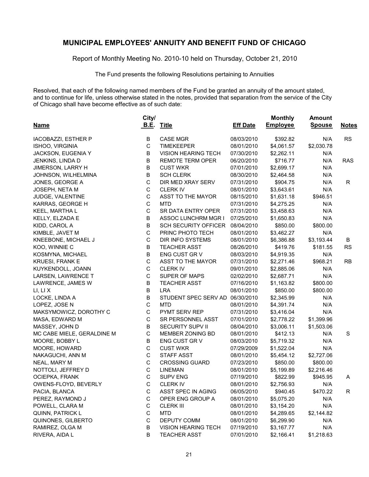Report of Monthly Meeting No. 2010-10 held on Thursday, October 21, 2010

The Fund presents the following Resolutions pertaining to Annuities

Resolved, that each of the following named members of the Fund be granted an annuity of the amount stated, and to continue for life, unless otherwise stated in the notes, provided that separation from the service of the City of Chicago shall have become effective as of such date:

| <b>Name</b>                | City/<br><b>B.E.</b> | <b>Title</b>                | <b>Eff Date</b> | <b>Monthly</b><br><b>Employee</b> | <b>Amount</b><br><b>Spouse</b> | <b>Notes</b> |
|----------------------------|----------------------|-----------------------------|-----------------|-----------------------------------|--------------------------------|--------------|
| <b>IACOBAZZI, ESTHER P</b> | В                    | <b>CASE MGR</b>             | 08/03/2010      | \$392.82                          | N/A                            | <b>RS</b>    |
| ISHOO, VIRGINIA            | $\mathsf C$          | <b>TIMEKEEPER</b>           | 08/01/2010      | \$4,061.57                        | \$2,030.78                     |              |
| JACKSON, EUGENIA Y         | В                    | <b>VISION HEARING TECH</b>  | 07/30/2010      | \$2,262.11                        | N/A                            |              |
| JENKINS, LINDA D           | В                    | REMOTE TERM OPER            | 06/20/2010      | \$716.77                          | N/A                            | <b>RAS</b>   |
| <b>JIMERSON, LARRY H</b>   | В                    | <b>CUST WKR</b>             | 07/01/2010      | \$2,699.17                        | N/A                            |              |
| JOHNSON, WILHELMINA        | B                    | <b>SCH CLERK</b>            | 08/30/2010      | \$2,464.58                        | N/A                            |              |
| JONES, GEORGE A            | C                    | DIR MED XRAY SERV           | 07/31/2010      | \$904.75                          | N/A                            | R            |
| JOSEPH, NETA M             | C                    | <b>CLERK IV</b>             | 08/01/2010      | \$3,643.61                        | N/A                            |              |
| JUDGE, VALENTINE           | $\mathsf C$          | <b>ASST TO THE MAYOR</b>    | 08/15/2010      | \$1,631.18                        | \$946.51                       |              |
| KARRAS, GEORGE H           | C                    | <b>MTD</b>                  | 07/31/2010      | \$4,275.25                        | N/A                            |              |
| KEEL, MARTHA L             | $\mathsf C$          | SR DATA ENTRY OPER          | 07/31/2010      | \$3,458.63                        | N/A                            |              |
| KELLY, ELZADA E            | B                    | <b>ASSOC LUNCHRM MGR I</b>  | 07/25/2010      | \$1,650.83                        | N/A                            |              |
| KIDD, CAROL A              | B                    | <b>SCH SECURITY OFFICER</b> | 08/04/2010      | \$850.00                          | \$800.00                       |              |
| KIMBLE, JAVET M            | C                    | PRINC PHOTO TECH            | 08/01/2010      | \$3,462.27                        | N/A                            |              |
| KNEEBONE, MICHAEL J        | $\mathsf C$          | DIR INFO SYSTEMS            | 08/01/2010      | \$6,386.88                        | \$3,193.44                     | B            |
| KOO, WINNIE C              | B                    | <b>TEACHER ASST</b>         | 08/26/2010      | \$419.76                          | \$181.55                       | <b>RS</b>    |
| KOSMYNA, MICHAEL           | B                    | ENG CUST GR V               | 08/03/2010      | \$4,919.35                        | N/A                            |              |
| KRUESI, FRANK E            | $\mathsf C$          | ASST TO THE MAYOR           | 07/31/2010      | \$2,271.46                        | \$968.21                       | <b>RB</b>    |
| KUYKENDOLL, JOANN          | C                    | <b>CLERK IV</b>             | 09/01/2010      | \$2,885.06                        | N/A                            |              |
| LARSEN, LAWRENCE T         | C                    | SUPER OF MAPS               | 02/02/2010      | \$2,687.71                        | N/A                            |              |
| LAWRENCE, JAMES W          | B                    | <b>TEACHER ASST</b>         | 07/16/2010      | \$1,163.82                        | \$800.00                       |              |
| LI, LI X                   | B                    | <b>LRA</b>                  | 08/01/2010      | \$850.00                          | \$800.00                       |              |
| LOCKE, LINDA A             | B                    | STUDENT SPEC SERV AD        | 06/30/2010      | \$2,345.99                        | N/A                            |              |
| LOPEZ, JOSE N              | C                    | <b>MTD</b>                  | 08/01/2010      | \$4,391.74                        | N/A                            |              |
| MAKSYMOWICZ, DOROTHY C     | С                    | PYMT SERV REP               | 07/31/2010      | \$3,416.04                        | N/A                            |              |
| MASA, EDWARD M             | $\mathsf C$          | SR PERSONNEL ASST           | 07/01/2010      | \$2,778.22                        | \$1,399.96                     |              |
| MASSEY, JOHN D             | B                    | <b>SECURITY SUPV II</b>     | 08/04/2010      | \$3,006.11                        | \$1,503.06                     |              |
| MC CABE MIELE, GERALDINE M | C                    | MEMBER ZONING BD            | 08/01/2010      | \$412.13                          | N/A                            | S            |
| MOORE, BOBBY L             | B                    | ENG CUST GR V               | 08/03/2010      | \$5,719.32                        | N/A                            |              |
| MOORE, HOWARD              | C                    | <b>CUST WKR</b>             | 07/29/2009      | \$1,522.04                        | N/A                            |              |
| NAKAGUCHI, ANN M           | $\mathsf C$          | STAFF ASST                  | 08/01/2010      | \$5,454.12                        | \$2,727.06                     |              |
| NEAL, MARY M               | C                    | <b>CROSSING GUARD</b>       | 07/23/2010      | \$850.00                          | \$800.00                       |              |
| NOTTOLI, JEFFREY D         | C                    | <b>LINEMAN</b>              | 08/01/2010      | \$5,199.89                        | \$2,216.46                     |              |
| OCIEPKA, FRANK             | $\mathsf C$          | <b>SUPV ENG</b>             | 07/19/2010      | \$822.99                          | \$945.95                       | Α            |
| OWENS-FLOYD, BEVERLY       | $\mathsf{C}$         | CLERK IV                    | 08/01/2010      | \$2,756.93                        | N/A                            |              |
| PACIA, BLANCA              | С                    | ASST SPEC IN AGING          | 06/05/2010      | \$940.45                          | \$470.22                       | R            |
| PEREZ, RAYMOND J           | С                    | OPER ENG GROUP A            | 08/01/2010      | \$5,075.20                        | N/A                            |              |
| POWELL, CLARA M            | С                    | <b>CLERK III</b>            | 08/01/2010      | \$3,154.20                        | N/A                            |              |
| QUINN, PATRICK L           | С                    | <b>MTD</b>                  | 08/01/2010      | \$4,289.65                        | \$2,144.82                     |              |
| QUINONES, GILBERTO         | С                    | DEPUTY COMM                 | 08/01/2010      | \$6,299.90                        | N/A                            |              |
| RAMIREZ, OLGA M            | В                    | <b>VISION HEARING TECH</b>  | 07/19/2010      | \$3,167.77                        | N/A                            |              |
| RIVERA, AIDA L             | В                    | <b>TEACHER ASST</b>         | 07/01/2010      | \$2,166.41                        | \$1,218.63                     |              |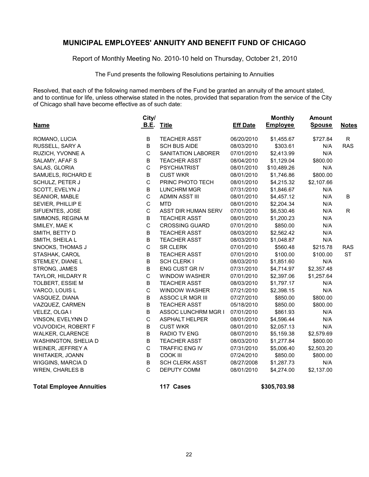Report of Monthly Meeting No. 2010-10 held on Thursday, October 21, 2010

The Fund presents the following Resolutions pertaining to Annuities

Resolved, that each of the following named members of the Fund be granted an annuity of the amount stated, and to continue for life, unless otherwise stated in the notes, provided that separation from the service of the City of Chicago shall have become effective as of such date:

|                        | City/        |                       |                 | <b>Monthly</b>  | <b>Amount</b> |              |
|------------------------|--------------|-----------------------|-----------------|-----------------|---------------|--------------|
| <b>Name</b>            | <b>B.E.</b>  | <b>Title</b>          | <b>Eff Date</b> | <b>Employee</b> | <b>Spouse</b> | <b>Notes</b> |
| ROMANO, LUCIA          | $\sf B$      | <b>TEACHER ASST</b>   | 06/20/2010      | \$1,455.67      | \$727.84      | $\mathsf{R}$ |
| RUSSELL, SARY A        | $\sf B$      | <b>SCH BUS AIDE</b>   | 08/03/2010      | \$303.61        | N/A           | <b>RAS</b>   |
| RUZICH, YVONNE A       | $\mathsf C$  | SANITATION LABORER    | 07/01/2010      | \$2,413.99      | N/A           |              |
| SALAMY, AFAF S         | $\sf B$      | <b>TEACHER ASST</b>   | 08/04/2010      | \$1,129.04      | \$800.00      |              |
| SALAS, GLORIA          | $\mathsf C$  | <b>PSYCHIATRIST</b>   | 08/01/2010      | \$10,489.26     | N/A           |              |
| SAMUELS, RICHARD E     | $\sf B$      | <b>CUST WKR</b>       | 08/01/2010      | \$1,746.86      | \$800.00      |              |
| SCHULZ, PETER J        | $\mathsf C$  | PRINC PHOTO TECH      | 08/01/2010      | \$4,215.32      | \$2,107.66    |              |
| SCOTT, EVELYN J        | $\sf B$      | <b>LUNCHRM MGR</b>    | 07/31/2010      | \$1,846.67      | N/A           |              |
| SEANIOR, MABLE         | $\mathsf C$  | <b>ADMIN ASST III</b> | 08/01/2010      | \$4,457.12      | N/A           | B            |
| SEVIER, PHILLIP E      | $\mathsf C$  | <b>MTD</b>            | 08/01/2010      | \$2,204.34      | N/A           |              |
| SIFUENTES, JOSE        | $\mathsf C$  | ASST DIR HUMAN SERV   | 07/01/2010      | \$6,530.46      | N/A           | $\mathsf{R}$ |
| SIMMONS, REGINA M      | $\sf B$      | <b>TEACHER ASST</b>   | 08/01/2010      | \$1,200.23      | N/A           |              |
| SMILEY, MAE K          | $\mathsf C$  | <b>CROSSING GUARD</b> | 07/01/2010      | \$850.00        | N/A           |              |
| SMITH, BETTY D         | $\sf B$      | <b>TEACHER ASST</b>   | 08/03/2010      | \$2,562.42      | N/A           |              |
| SMITH, SHEILA L        | $\sf B$      | <b>TEACHER ASST</b>   | 08/03/2010      | \$1,048.87      | N/A           |              |
| SNOOKS, THOMAS J       | $\mathsf C$  | <b>SR CLERK</b>       | 07/01/2010      | \$560.48        | \$215.78      | <b>RAS</b>   |
| STASHAK, CAROL         | $\sf B$      | <b>TEACHER ASST</b>   | 07/01/2010      | \$100.00        | \$100.00      | <b>ST</b>    |
| STEMLEY, DIANE L       | $\sf B$      | <b>SCH CLERK I</b>    | 08/03/2010      | \$1,851.60      | N/A           |              |
| STRONG, JAMES          | B            | ENG CUST GR IV        | 07/31/2010      | \$4,714.97      | \$2,357.48    |              |
| TAYLOR, HILDARY R      | $\mathsf C$  | <b>WINDOW WASHER</b>  | 07/01/2010      | \$2,397.06      | \$1,257.64    |              |
| TOLBERT, ESSIE M       | $\sf B$      | <b>TEACHER ASST</b>   | 08/03/2010      | \$1,797.17      | N/A           |              |
| VARCO, LOUIS L         | $\mathsf C$  | <b>WINDOW WASHER</b>  | 07/21/2010      | \$2,398.15      | N/A           |              |
| VASQUEZ, DIANA         | $\sf B$      | ASSOC LR MGR III      | 07/27/2010      | \$850.00        | \$800.00      |              |
| VAZQUEZ, CARMEN        | $\sf B$      | <b>TEACHER ASST</b>   | 05/18/2010      | \$850.00        | \$800.00      |              |
| VELEZ, OLGA I          | B            | ASSOC LUNCHRM MGR I   | 07/01/2010      | \$861.93        | N/A           |              |
| VINSON, EVELYNN D      | $\mathsf C$  | <b>ASPHALT HELPER</b> | 08/01/2010      | \$4,596.44      | N/A           |              |
| VOJVODICH, ROBERT F    | $\sf B$      | <b>CUST WKR</b>       | 08/01/2010      | \$2,057.13      | N/A           |              |
| WALKER, CLARENCE       | $\sf B$      | RADIO TV ENG          | 08/07/2010      | \$5,159.38      | \$2,579.69    |              |
| WASHINGTON, SHELIA D   | B            | <b>TEACHER ASST</b>   | 08/03/2010      | \$1,277.84      | \$800.00      |              |
| WEINER, JEFFREY A      | $\mathsf C$  | <b>TRAFFIC ENG IV</b> | 07/31/2010      | \$5,006.40      | \$2,503.20    |              |
| WHITAKER, JOANN        | B            | COOK III              | 07/24/2010      | \$850.00        | \$800.00      |              |
| WIGGINS, MARCIA D      | $\sf B$      | <b>SCH CLERK ASST</b> | 08/27/2008      | \$1,287.73      | N/A           |              |
| <b>WREN, CHARLES B</b> | $\mathsf{C}$ | <b>DEPUTY COMM</b>    | 08/01/2010      | \$4,274.00      | \$2,137.00    |              |
|                        |              |                       |                 |                 |               |              |

**Total Employee Annuities 117 Cases \$305,703.98**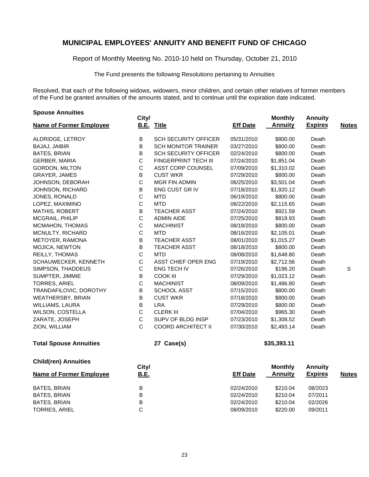Report of Monthly Meeting No. 2010-10 held on Thursday, October 21, 2010

The Fund presents the following Resolutions pertaining to Annuities

Resolved, that each of the following widows, widowers, minor children, and certain other relatives of former members of the Fund be granted annuities of the amounts stated, and to continue until the expiration date indicated.

| <b>Spouse Annuities</b>        | City/       |                             |                 | <b>Monthly</b> | <b>Annuity</b> |              |
|--------------------------------|-------------|-----------------------------|-----------------|----------------|----------------|--------------|
| <b>Name of Former Employee</b> |             | <b>B.E. Title</b>           | <b>Eff Date</b> | <b>Annuity</b> | <b>Expires</b> | <b>Notes</b> |
| ALDRIDGE, LETROY               | В           | <b>SCH SECURITY OFFICER</b> | 05/31/2010      | \$800.00       | Death          |              |
| BAJAJ, JAIBIR                  | B           | <b>SCH MONITOR TRAINER</b>  | 03/27/2010      | \$800.00       | Death          |              |
| BATES, BRIAN                   | B           | <b>SCH SECURITY OFFICER</b> | 02/24/2010      | \$800.00       | Death          |              |
| GERBER, MARIA                  | $\mathsf C$ | <b>FINGERPRINT TECH III</b> | 07/24/2010      | \$1,851.04     | Death          |              |
| GORDON, MILTON                 | $\mathsf C$ | ASST CORP COUNSEL           | 07/09/2010      | \$1,310.02     | Death          |              |
| GRAYER, JAMES                  | B           | <b>CUST WKR</b>             | 07/29/2010      | \$800.00       | Death          |              |
| JOHNSON, DEBORAH               | $\mathsf C$ | <b>MGR FIN ADMIN</b>        | 06/25/2010      | \$3,501.04     | Death          |              |
| <b>JOHNSON, RICHARD</b>        | B           | ENG CUST GR IV              | 07/18/2010      | \$1,920.12     | Death          |              |
| JONES, RONALD                  | $\mathsf C$ | <b>MTD</b>                  | 06/19/2010      | \$800.00       | Death          |              |
| LOPEZ, MAXIMINO                | $\mathsf C$ | <b>MTD</b>                  | 08/22/2010      | \$2,115.65     | Death          |              |
| <b>MATHIS, ROBERT</b>          | B           | <b>TEACHER ASST</b>         | 07/24/2010      | \$921.59       | Death          |              |
| MCGRAIL, PHILIP                | $\mathsf C$ | <b>ADMIN AIDE</b>           | 07/25/2010      | \$818.93       | Death          |              |
| MCMAHON, THOMAS                | $\mathsf C$ | <b>MACHINIST</b>            | 08/18/2010      | \$800.00       | Death          |              |
| MCNULTY, RICHARD               | $\mathsf C$ | <b>MTD</b>                  | 08/16/2010      | \$2,105.01     | Death          |              |
| <b>METOYER, RAMONA</b>         | B           | <b>TEACHER ASST</b>         | 08/01/2010      | \$1,015.27     | Death          |              |
| MOJICA, NEWTON                 | B           | <b>TEACHER ASST</b>         | 08/18/2010      | \$800.00       | Death          |              |
| REILLY, THOMAS                 | $\mathsf C$ | MTD                         | 08/08/2010      | \$1,648.80     | Death          |              |
| SCHAUWECKER, KENNETH           | $\mathsf C$ | ASST CHIEF OPER ENG         | 07/19/2010      | \$2,712.56     | Death          |              |
| SIMPSON, THADDEUS              | $\mathsf C$ | <b>ENG TECH IV</b>          | 07/26/2010      | \$196.20       | Death          | S            |
| SUMPTER, JIMMIE                | B           | <b>COOK III</b>             | 07/29/2010      | \$1,023.12     | Death          |              |
| TORRES, ARIEL                  | $\mathsf C$ | <b>MACHINIST</b>            | 08/09/2010      | \$1,486.80     | Death          |              |
| TRANDAFILOVIC, DOROTHY         | $\sf B$     | SCHOOL ASST                 | 07/15/2010      | \$800.00       | Death          |              |
| WEATHERSBY, BRIAN              | B           | <b>CUST WKR</b>             | 07/18/2010      | \$800.00       | Death          |              |
| WILLIAMS, LAURA                | B           | <b>LRA</b>                  | 07/29/2010      | \$800.00       | Death          |              |
| WILSON, COSTELLA               | $\mathsf C$ | <b>CLERK III</b>            | 07/04/2010      | \$965.30       | Death          |              |
| ZARATE, JOSEPH                 | $\mathsf C$ | SUPV OF BLDG INSP           | 07/23/2010      | \$1,308.52     | Death          |              |
| ZION, WILLIAM                  | C           | <b>COORD ARCHITECT II</b>   | 07/30/2010      | \$2,493.14     | Death          |              |
| <b>Total Spouse Annuities</b>  |             | 27 Case(s)                  |                 | \$35,393.11    |                |              |
| <b>Child(ren) Annuities</b>    | City/       |                             |                 | <b>Monthly</b> | <b>Annuity</b> |              |
| <b>Name of Former Employee</b> | <b>B.E.</b> |                             | <b>Eff Date</b> | <b>Annuity</b> | <b>Expires</b> | <b>Notes</b> |
| <b>BATES, BRIAN</b>            | $\sf B$     |                             | 02/24/2010      | \$210.04       | 08/2023        |              |
| <b>BATES, BRIAN</b>            | $\sf B$     |                             | 02/24/2010      | \$210.04       | 07/2011        |              |
| BATES, BRIAN                   | B           |                             | 02/24/2010      | \$210.04       | 02/2026        |              |
| TORRES, ARIEL                  | $\mathsf C$ |                             | 08/09/2010      | \$220.00       | 09/2011        |              |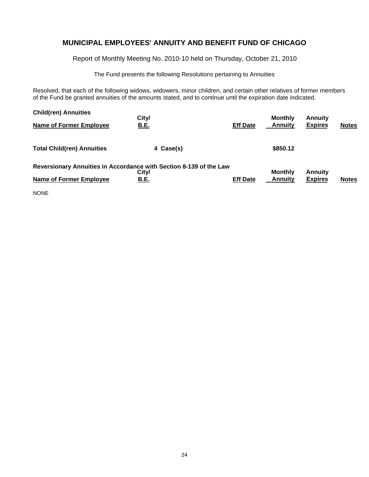Report of Monthly Meeting No. 2010-10 held on Thursday, October 21, 2010

The Fund presents the following Resolutions pertaining to Annuities

Resolved, that each of the following widows, widowers, minor children, and certain other relatives of former members of the Fund be granted annuities of the amounts stated, and to continue until the expiration date indicated.

| <b>Child(ren) Annuities</b>       | City/                                                                       |                 | <b>Monthly</b> | <b>Annuity</b> |              |
|-----------------------------------|-----------------------------------------------------------------------------|-----------------|----------------|----------------|--------------|
| Name of Former Employee           | <u>B.E.</u>                                                                 | <b>Eff Date</b> | <b>Annuity</b> | <b>Expires</b> | <b>Notes</b> |
| <b>Total Child(ren) Annuities</b> | 4 Case(s)                                                                   |                 | \$850.12       |                |              |
|                                   | Reversionary Annuities in Accordance with Section 8-139 of the Law<br>City/ |                 | <b>Monthly</b> | <b>Annuity</b> |              |
| <b>Name of Former Employee</b>    | <u>B.E.</u>                                                                 | <b>Eff Date</b> | <b>Annuity</b> | <b>Expires</b> | <b>Notes</b> |
| <b>NONE</b>                       |                                                                             |                 |                |                |              |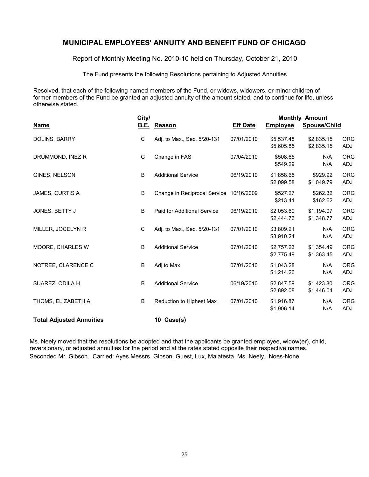Report of Monthly Meeting No. 2010-10 held on Thursday, October 21, 2010

The Fund presents the following Resolutions pertaining to Adjusted Annuities

Resolved, that each of the following named members of the Fund, or widows, widowers, or minor children of former members of the Fund be granted an adjusted annuity of the amount stated, and to continue for life, unless otherwise stated.

|                                 | City/       |                              | <b>Monthly Amount</b> |                          |                          |                          |  |
|---------------------------------|-------------|------------------------------|-----------------------|--------------------------|--------------------------|--------------------------|--|
| <b>Name</b>                     |             | <b>B.E.</b> Reason           | <b>Eff Date</b>       | <b>Employee</b>          | Spouse/Child             |                          |  |
| DOLINS, BARRY                   | C           | Adj. to Max., Sec. 5/20-131  | 07/01/2010            | \$5,537.48<br>\$5,605.85 | \$2,835.15<br>\$2,835.15 | <b>ORG</b><br>ADJ        |  |
| DRUMMOND, INEZ R                | $\mathbf C$ | Change in FAS                | 07/04/2010            | \$508.65<br>\$549.29     | N/A<br>N/A               | <b>ORG</b><br>ADJ        |  |
| GINES, NELSON                   | B           | <b>Additional Service</b>    | 06/19/2010            | \$1,858.65<br>\$2,099.58 | \$929.92<br>\$1,049.79   | <b>ORG</b><br>ADJ        |  |
| <b>JAMES, CURTIS A</b>          | B           | Change in Reciprocal Service | 10/16/2009            | \$527.27<br>\$213.41     | \$262.32<br>\$162.62     | <b>ORG</b><br>ADJ        |  |
| JONES, BETTY J                  | B           | Paid for Additional Service  | 06/19/2010            | \$2,053.60<br>\$2,444.76 | \$1,194.07<br>\$1,348.77 | <b>ORG</b><br>ADJ        |  |
| MILLER, JOCELYN R               | $\mathsf C$ | Adj. to Max., Sec. 5/20-131  | 07/01/2010            | \$3,809.21<br>\$3,910.24 | N/A<br>N/A               | <b>ORG</b><br>ADJ        |  |
| MOORE, CHARLES W                | B           | <b>Additional Service</b>    | 07/01/2010            | \$2,757.23<br>\$2,775.49 | \$1,354.49<br>\$1,363.45 | <b>ORG</b><br>ADJ        |  |
| NOTREE, CLARENCE C              | B           | Adj to Max                   | 07/01/2010            | \$1,043.28<br>\$1,214.26 | N/A<br>N/A               | <b>ORG</b><br><b>ADJ</b> |  |
| SUAREZ, ODILA H                 | B           | <b>Additional Service</b>    | 06/19/2010            | \$2,847.59<br>\$2,892.08 | \$1,423.80<br>\$1,446.04 | <b>ORG</b><br>ADJ        |  |
| THOMS, ELIZABETH A              | B           | Reduction to Highest Max     | 07/01/2010            | \$1,916.87<br>\$1,906.14 | N/A<br>N/A               | <b>ORG</b><br>ADJ        |  |
| <b>Total Adjusted Annuities</b> |             | 10 Case(s)                   |                       |                          |                          |                          |  |

Ms. Neely moved that the resolutions be adopted and that the applicants be granted employee, widow(er), child, reversionary, or adjusted annuities for the period and at the rates stated opposite their respective names. Seconded Mr. Gibson. Carried: Ayes Messrs. Gibson, Guest, Lux, Malatesta, Ms. Neely. Noes-None.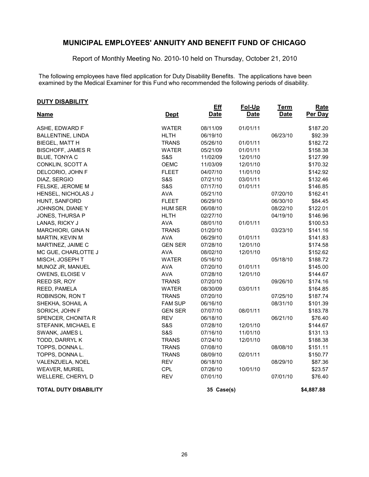Report of Monthly Meeting No. 2010-10 held on Thursday, October 21, 2010

The following employees have filed application for Duty Disability Benefits. The applications have been examined by the Medical Examiner for this Fund who recommended the following periods of disability.

#### **DUTY DISABILITY**

| <b>Name</b>                  | <b>Dept</b>    | <b>Eff</b><br><b>Date</b> | Fol-Up<br><b>Date</b> | <b>Term</b><br><b>Date</b> | <b>Rate</b><br>Per Day |
|------------------------------|----------------|---------------------------|-----------------------|----------------------------|------------------------|
|                              |                |                           |                       |                            |                        |
| ASHE, EDWARD F               | <b>WATER</b>   | 08/11/09                  | 01/01/11              |                            | \$187.20               |
| <b>BALLENTINE, LINDA</b>     | <b>HLTH</b>    | 06/19/10                  |                       | 06/23/10                   | \$92.39                |
| BIEGEL, MATT H               | <b>TRANS</b>   | 05/26/10                  | 01/01/11              |                            | \$182.72               |
| <b>BISCHOFF, JAMES R</b>     | <b>WATER</b>   | 05/21/09                  | 01/01/11              |                            | \$158.38               |
| BLUE, TONYA C                | <b>S&amp;S</b> | 11/02/09                  | 12/01/10              |                            | \$127.99               |
| CONKLIN, SCOTT A             | <b>OEMC</b>    | 11/03/09                  | 12/01/10              |                            | \$170.32               |
| DELCORIO, JOHN F             | <b>FLEET</b>   | 04/07/10                  | 11/01/10              |                            | \$142.92               |
| DIAZ, SERGIO                 | S&S            | 07/21/10                  | 03/01/11              |                            | \$132.46               |
| FELSKE, JEROME M             | S&S            | 07/17/10                  | 01/01/11              |                            | \$146.85               |
| HENSEL, NICHOLAS J           | <b>AVA</b>     | 05/21/10                  |                       | 07/20/10                   | \$162.41               |
| HUNT, SANFORD                | <b>FLEET</b>   | 06/29/10                  |                       | 06/30/10                   | \$84.45                |
| JOHNSON, DIANE Y             | <b>HUM SER</b> | 06/08/10                  |                       | 08/22/10                   | \$122.01               |
| JONES, THURSA P              | <b>HLTH</b>    | 02/27/10                  |                       | 04/19/10                   | \$146.96               |
| LANAS, RICKY J               | <b>AVA</b>     | 08/01/10                  | 01/01/11              |                            | \$100.53               |
| <b>MARCHIORI, GINA N</b>     | <b>TRANS</b>   | 01/20/10                  |                       | 03/23/10                   | \$141.16               |
| MARTIN, KEVIN M              | <b>AVA</b>     | 06/29/10                  | 01/01/11              |                            | \$141.83               |
| MARTINEZ, JAIME C            | <b>GEN SER</b> | 07/28/10                  | 12/01/10              |                            | \$174.58               |
| MC GUE, CHARLOTTE J          | <b>AVA</b>     | 08/02/10                  | 12/01/10              |                            | \$152.62               |
| MISCH, JOSEPH T              | <b>WATER</b>   | 05/16/10                  |                       | 05/18/10                   | \$188.72               |
| MUNOZ JR, MANUEL             | <b>AVA</b>     | 07/20/10                  | 01/01/11              |                            | \$145.00               |
| OWENS, ELOISE V              | <b>AVA</b>     | 07/28/10                  | 12/01/10              |                            | \$144.67               |
| REED SR, ROY                 | <b>TRANS</b>   | 07/20/10                  |                       | 09/26/10                   | \$174.16               |
| REED, PAMELA                 | <b>WATER</b>   | 08/30/09                  | 03/01/11              |                            | \$164.85               |
| ROBINSON, RON T              | <b>TRANS</b>   | 07/20/10                  |                       | 07/25/10                   | \$187.74               |
| SHEKHA, SOHAIL A             | <b>FAM SUP</b> | 06/16/10                  |                       | 08/31/10                   | \$101.39               |
| SORICH, JOHN F               | <b>GEN SER</b> | 07/07/10                  | 08/01/11              |                            | \$183.78               |
| SPENCER, CHONITA R           | <b>REV</b>     | 06/18/10                  |                       | 06/21/10                   | \$76.40                |
| STEFANIK, MICHAEL E          | <b>S&amp;S</b> | 07/28/10                  | 12/01/10              |                            | \$144.67               |
| SWANK, JAMES L               | <b>S&amp;S</b> | 07/16/10                  | 11/01/10              |                            | \$131.13               |
| TODD, DARRYL K               | <b>TRANS</b>   | 07/24/10                  | 12/01/10              |                            | \$188.38               |
| TOPPS, DONNA L.              | <b>TRANS</b>   | 07/08/10                  |                       | 08/08/10                   | \$151.11               |
| TOPPS, DONNA L.              | <b>TRANS</b>   | 08/09/10                  | 02/01/11              |                            | \$150.77               |
| VALENZUELA, NOEL             | <b>REV</b>     | 06/18/10                  |                       | 08/29/10                   | \$87.36                |
| <b>WEAVER, MURIEL</b>        | <b>CPL</b>     | 07/26/10                  | 10/01/10              |                            | \$23.57                |
| WELLERE, CHERYL D            | <b>REV</b>     | 07/01/10                  |                       | 07/01/10                   | \$76.40                |
| <b>TOTAL DUTY DISABILITY</b> |                | 35 Case(s)                |                       |                            | \$4,887.88             |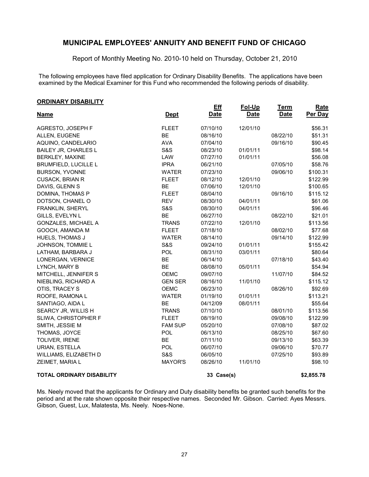Report of Monthly Meeting No. 2010-10 held on Thursday, October 21, 2010

The following employees have filed application for Ordinary Disability Benefits. The applications have been examined by the Medical Examiner for this Fund who recommended the following periods of disability.

| <b>ORDINARY DISABILITY</b>       |                |                           |                       |                            |                 |
|----------------------------------|----------------|---------------------------|-----------------------|----------------------------|-----------------|
| <b>Name</b>                      | <b>Dept</b>    | <b>Eff</b><br><b>Date</b> | Fol-Up<br><b>Date</b> | <b>Term</b><br><b>Date</b> | Rate<br>Per Day |
| AGRESTO, JOSEPH F                | <b>FLEET</b>   | 07/10/10                  | 12/01/10              |                            | \$56.31         |
| ALLEN, EUGENE                    | <b>BE</b>      | 08/16/10                  |                       | 08/22/10                   | \$51.31         |
| AQUINO, CANDELARIO               | <b>AVA</b>     | 07/04/10                  |                       | 09/16/10                   | \$90.45         |
| BAILEY JR, CHARLES L             | <b>S&amp;S</b> | 08/23/10                  | 01/01/11              |                            | \$98.14         |
| <b>BERKLEY, MAXINE</b>           | LAW            | 07/27/10                  | 01/01/11              |                            | \$56.08         |
| <b>BRUMFIELD, LUCILLE L</b>      | <b>IPRA</b>    | 06/21/10                  |                       | 07/05/10                   | \$58.76         |
| <b>BURSON, YVONNE</b>            | <b>WATER</b>   | 07/23/10                  |                       | 09/06/10                   | \$100.31        |
| CUSACK, BRIAN R                  | <b>FLEET</b>   | 08/12/10                  | 12/01/10              |                            | \$122.99        |
| DAVIS, GLENN S                   | <b>BE</b>      | 07/06/10                  | 12/01/10              |                            | \$100.65        |
| DOMINA, THOMAS P                 | <b>FLEET</b>   | 08/04/10                  |                       | 09/16/10                   | \$115.12        |
| DOTSON, CHANEL O                 | <b>REV</b>     | 08/30/10                  | 04/01/11              |                            | \$61.06         |
| FRANKLIN, SHERYL                 | <b>S&amp;S</b> | 08/30/10                  | 04/01/11              |                            | \$96.46         |
| GILLS, EVELYN L                  | <b>BE</b>      | 06/27/10                  |                       | 08/22/10                   | \$21.01         |
| <b>GONZALES, MICHAEL A</b>       | <b>TRANS</b>   | 07/22/10                  | 12/01/10              |                            | \$113.56        |
| GOOCH, AMANDA M                  | <b>FLEET</b>   | 07/18/10                  |                       | 08/02/10                   | \$77.68         |
| <b>HUELS, THOMAS J</b>           | <b>WATER</b>   | 08/14/10                  |                       | 09/14/10                   | \$122.99        |
| JOHNSON, TOMMIE L                | <b>S&amp;S</b> | 09/24/10                  | 01/01/11              |                            | \$155.42        |
| LATHAM, BARBARA J                | POL            | 08/31/10                  | 03/01/11              |                            | \$80.64         |
| LONERGAN, VERNICE                | <b>BE</b>      | 06/14/10                  |                       | 07/18/10                   | \$43.40         |
| LYNCH, MARY B                    | <b>BE</b>      | 08/08/10                  | 05/01/11              |                            | \$54.94         |
| MITCHELL, JENNIFER S             | <b>OEMC</b>    | 09/07/10                  |                       | 11/07/10                   | \$84.52         |
| NIEBLING, RICHARD A              | <b>GEN SER</b> | 08/16/10                  | 11/01/10              |                            | \$115.12        |
| OTIS, TRACEY S                   | <b>OEMC</b>    | 06/23/10                  |                       | 08/26/10                   | \$92.69         |
| ROOFE, RAMONA L                  | <b>WATER</b>   | 01/19/10                  | 01/01/11              |                            | \$113.21        |
| SANTIAGO, AIDA L                 | <b>BE</b>      | 04/12/09                  | 08/01/11              |                            | \$55.64         |
| SEARCY JR, WILLIS H              | <b>TRANS</b>   | 07/10/10                  |                       | 08/01/10                   | \$113.56        |
| SLIWA, CHRISTOPHER F             | <b>FLEET</b>   | 08/19/10                  |                       | 09/08/10                   | \$122.99        |
| SMITH, JESSIE M                  | <b>FAM SUP</b> | 05/20/10                  |                       | 07/08/10                   | \$87.02         |
| THOMAS, JOYCE                    | POL            | 06/13/10                  |                       | 08/25/10                   | \$67.60         |
| <b>TOLIVER, IRENE</b>            | <b>BE</b>      | 07/11/10                  |                       | 09/13/10                   | \$63.39         |
| URIAN, ESTELLA                   | POL            | 06/07/10                  |                       | 09/06/10                   | \$70.77         |
| WILLIAMS, ELIZABETH D            | S&S            | 06/05/10                  |                       | 07/25/10                   | \$93.89         |
| ZEIMET, MARIA L                  | <b>MAYOR'S</b> | 08/26/10                  | 11/01/10              |                            | \$98.10         |
| <b>TOTAL ORDINARY DISABILITY</b> |                | 33 Case(s)                |                       |                            | \$2,855.78      |

Ms. Neely moved that the applicants for Ordinary and Duty disability benefits be granted such benefits for the period and at the rate shown opposite their respective names. Seconded Mr. Gibson. Carried: Ayes Messrs. Gibson, Guest, Lux, Malatesta, Ms. Neely. Noes-None.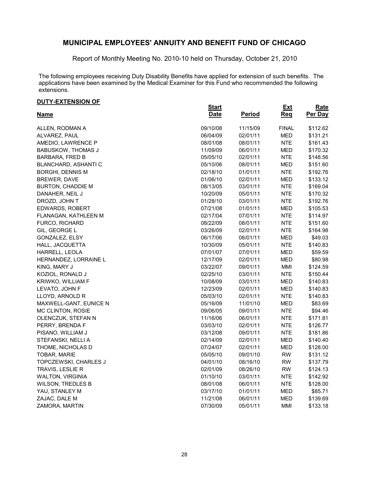Report of Monthly Meeting No. 2010-10 held on Thursday, October 21, 2010

The following employees receiving Duty Disability Benefits have applied for extension of such benefits. The applications have been examined by the Medical Examiner for this Fund who recommended the following extensions.

#### **DUTY-EXTENSION OF**

| <u>DUITEATLINJIUN UL</u>      | <b>Start</b> |               | <b>Ext</b>   | Rate     |
|-------------------------------|--------------|---------------|--------------|----------|
| <b>Name</b>                   | <b>Date</b>  | <b>Period</b> | Req          | Per Day  |
| ALLEN, RODMAN A               | 09/10/08     | 11/15/09      | <b>FINAL</b> | \$112.62 |
| ALVAREZ, PAUL                 | 06/04/09     | 02/01/11      | <b>MED</b>   | \$131.21 |
| AMEDIO, LAWRENCE P            | 08/01/08     | 08/01/11      | <b>NTE</b>   | \$161.43 |
| <b>BABUSKOW, THOMAS J</b>     | 11/09/09     | 06/01/11      | MED          | \$170.32 |
| BARBARA, FRED B               | 05/05/10     | 02/01/11      | NTE.         | \$148.56 |
| BLANCHARD, ASHANTI C          | 05/10/06     | 08/01/11      | <b>MED</b>   | \$151.60 |
| <b>BORGHI, DENNIS M</b>       | 02/18/10     | 01/01/11      | <b>NTE</b>   | \$192.76 |
| BREWER, DAVE                  | 01/06/10     | 02/01/11      | <b>MED</b>   | \$133.12 |
| <b>BURTON, CHADDIE M</b>      | 08/13/05     | 03/01/11      | <b>NTE</b>   | \$169.04 |
| DANAHER, NEIL J               | 10/20/09     | 05/01/11      | <b>NTE</b>   | \$170.32 |
| DROZD, JOHN T                 | 01/28/10     | 03/01/11      | <b>NTE</b>   | \$192.76 |
| EDWARDS, ROBERT               | 07/21/08     | 01/01/11      | MED          | \$105.53 |
| FLANAGAN, KATHLEEN M          | 02/17/04     | 07/01/11      | <b>NTE</b>   | \$114.97 |
| <b>FURCO, RICHARD</b>         | 08/22/09     | 08/01/11      | NTE.         | \$151.60 |
| GIL, GEORGE L                 | 03/26/09     | 02/01/11      | <b>NTE</b>   | \$164.98 |
| GONZALEZ, ELSY                | 06/17/06     | 06/01/11      | <b>MED</b>   | \$49.03  |
| HALL, JACQUETTA               | 10/30/09     | 05/01/11      | <b>NTE</b>   | \$140.83 |
| HARRELL, LEOLA                | 07/01/07     | 07/01/11      | MED          | \$59.59  |
| HERNANDEZ, LORRAINE L         | 12/17/09     | 02/01/11      | MED          | \$80.98  |
| KING, MARY J                  | 03/22/07     | 09/01/11      | MMI          | \$124.59 |
| KOZIOL, RONALD J              | 02/25/10     | 03/01/11      | <b>NTE</b>   | \$150.44 |
| KRIWKO, WILLIAM F             | 10/08/09     | 03/01/11      | <b>MED</b>   | \$140.83 |
| LEVATO, JOHN F                | 12/23/09     | 02/01/11      | <b>MED</b>   | \$140.83 |
| LLOYD, ARNOLD R               | 05/03/10     | 02/01/11      | <b>NTE</b>   | \$140.83 |
| <b>MAXWELL-GANT, EUNICE N</b> | 05/16/09     | 11/01/10      | MED          | \$83.69  |
| MC CLINTON, ROSIE             | 09/06/05     | 09/01/11      | <b>NTE</b>   | \$94.46  |
| OLENCZUK, STEFAN N            | 11/16/06     | 06/01/11      | <b>NTE</b>   | \$171.81 |
| PERRY, BRENDA F               | 03/03/10     | 02/01/11      | <b>NTE</b>   | \$126.77 |
| PISANO, WILLIAM J             | 03/12/08     | 09/01/11      | <b>NTE</b>   | \$181.86 |
| STEFANSKI, NELLI A            | 02/14/09     | 02/01/11      | <b>MED</b>   | \$140.40 |
| THOME, NICHOLAS D             | 07/24/07     | 02/01/11      | MED          | \$128.00 |
| TOBAR, MARIE                  | 05/05/10     | 09/01/10      | <b>RW</b>    | \$131.12 |
| TOPCZEWSKI, CHARLES J         | 04/01/10     | 08/16/10      | <b>RW</b>    | \$137.79 |
| TRAVIS, LESLIE R              | 02/01/09     | 08/26/10      | <b>RW</b>    | \$124.13 |
| <b>WALTON, VIRGINIA</b>       | 01/10/10     | 03/01/11      | <b>NTE</b>   | \$142.92 |
| WILSON, TREDLES B             | 08/01/08     | 06/01/11      | <b>NTE</b>   | \$128.00 |
| YAU, STANLEY M                | 03/17/10     | 01/01/11      | <b>MED</b>   | \$85.71  |
| ZAJAC, DALE M                 | 11/21/08     | 06/01/11      | MED          | \$139.69 |
| ZAMORA, MARTIN                | 07/30/09     | 05/01/11      | MMI          | \$133.18 |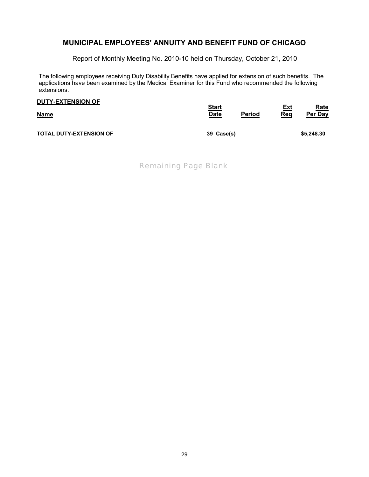Report of Monthly Meeting No. 2010-10 held on Thursday, October 21, 2010

The following employees receiving Duty Disability Benefits have applied for extension of such benefits. The applications have been examined by the Medical Examiner for this Fund who recommended the following extensions.

| <b>DUTY-EXTENSION OF</b>       | <b>Start</b> | Period | <u>Ext</u> | <u>Rate</u> |
|--------------------------------|--------------|--------|------------|-------------|
| <b>Name</b>                    | <b>Date</b>  |        | Req        | Per Day     |
| <b>TOTAL DUTY-EXTENSION OF</b> | 39 Case(s)   |        |            | \$5,248.30  |

*Remaining Page Blank*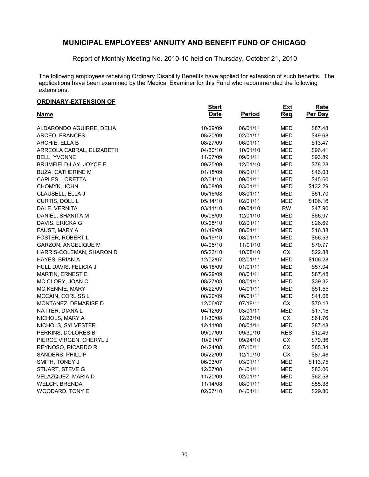Report of Monthly Meeting No. 2010-10 held on Thursday, October 21, 2010

The following employees receiving Ordinary Disability Benefits have applied for extension of such benefits. The applications have been examined by the Medical Examiner for this Fund who recommended the following extensions.

|  | <b>ORDINARY-EXTENSION OF</b> |  |  |  |  |
|--|------------------------------|--|--|--|--|
|  |                              |  |  |  |  |

| <u>UNUINANTEATENUUN UIT</u> | <b>Start</b> |               | <b>Ext</b> | Rate     |
|-----------------------------|--------------|---------------|------------|----------|
| <u>Name</u>                 | <b>Date</b>  | <b>Period</b> | <b>Req</b> | Per Day  |
| ALDARONDO AGUIRRE, DELIA    | 10/09/09     | 06/01/11      | <b>MED</b> | \$87.48  |
| ARCEO, FRANCES              | 08/20/09     | 02/01/11      | <b>MED</b> | \$49.68  |
| ARCHIE, ELLA B              | 08/27/09     | 06/01/11      | <b>MED</b> | \$13.47  |
| ARREOLA CABRAL, ELIZABETH   | 04/30/10     | 10/01/10      | <b>MED</b> | \$96.41  |
| BELL, YVONNE                | 11/07/09     | 09/01/11      | <b>MED</b> | \$93.89  |
| BRUMFIELD-LAY, JOYCE E      | 09/25/09     | 12/01/10      | <b>MED</b> | \$78.28  |
| <b>BUZA, CATHERINE M</b>    | 01/18/09     | 06/01/11      | <b>MED</b> | \$46.03  |
| CAPLES, LORETTA             | 02/04/10     | 09/01/11      | <b>MED</b> | \$45.60  |
| CHOMYK, JOHN                | 08/08/09     | 03/01/11      | MED        | \$132.29 |
| CLAUSELL, ELLA J            | 05/16/08     | 08/01/11      | <b>MED</b> | \$61.70  |
| CURTIS, DOLL L              | 05/14/10     | 02/01/11      | <b>MED</b> | \$106.16 |
| DALE, VERNITA               | 03/11/10     | 09/01/10      | <b>RW</b>  | \$47.90  |
| DANIEL, SHANITA M           | 05/08/09     | 12/01/10      | <b>MED</b> | \$66.97  |
| DAVIS, ERICKA G             | 03/08/10     | 02/01/11      | <b>MED</b> | \$26.69  |
| FAUST, MARY A               | 01/19/09     | 08/01/11      | <b>MED</b> | \$16.38  |
| FOSTER, ROBERT L            | 05/19/10     | 08/01/11      | <b>MED</b> | \$56.53  |
| GARZON, ANGELIQUE M         | 04/05/10     | 11/01/10      | <b>MED</b> | \$70.77  |
| HARRIS-COLEMAN, SHARON D    | 05/23/10     | 10/08/10      | CX         | \$22.88  |
| HAYES, BRIAN A              | 12/02/07     | 02/01/11      | <b>MED</b> | \$106.28 |
| HULL DAVIS, FELICIA J       | 06/18/09     | 01/01/11      | <b>MED</b> | \$57.04  |
| <b>MARTIN, ERNEST E</b>     | 06/29/09     | 08/01/11      | <b>MED</b> | \$87.48  |
| MC CLORY, JOAN C            | 08/27/08     | 08/01/11      | <b>MED</b> | \$39.32  |
| MC KENNIE, MARY             | 06/22/09     | 04/01/11      | MED        | \$51.55  |
| MCCAIN, CORLISS L           | 08/20/09     | 06/01/11      | <b>MED</b> | \$41.06  |
| MONTANEZ, DEMARISE D        | 12/06/07     | 07/18/11      | <b>CX</b>  | \$70.13  |
| NATTER, DIANA L             | 04/12/09     | 03/01/11      | <b>MED</b> | \$17.16  |
| NICHOLS, MARY A             | 11/30/08     | 12/23/10      | CX         | \$61.76  |
| NICHOLS, SYLVESTER          | 12/11/08     | 08/01/11      | <b>MED</b> | \$87.48  |
| PERKINS, DOLORES B          | 09/07/09     | 09/30/10      | <b>RES</b> | \$12.49  |
| PIERCE VIRGEN, CHERYL J     | 10/21/07     | 09/24/10      | CX         | \$70.36  |
| REYNOSO, RICARDO R          | 04/24/08     | 07/16/11      | <b>CX</b>  | \$85.34  |
| SANDERS, PHILLIP            | 05/22/09     | 12/10/10      | CX         | \$87.48  |
| SMITH, TONEY J              | 06/03/07     | 03/01/11      | <b>MED</b> | \$113.75 |
| STUART, STEVE G             | 12/07/08     | 04/01/11      | <b>MED</b> | \$83.06  |
| VELAZQUEZ, MARIA D          | 11/20/09     | 02/01/11      | <b>MED</b> | \$62.58  |
| WELCH, BRENDA               | 11/14/08     | 08/01/11      | <b>MED</b> | \$55.38  |
| WOODARD, TONY E             | 02/07/10     | 04/01/11      | <b>MED</b> | \$29.80  |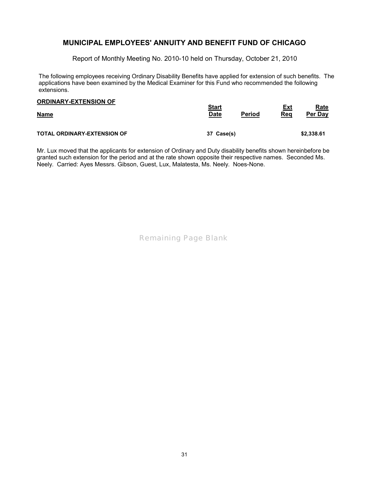Report of Monthly Meeting No. 2010-10 held on Thursday, October 21, 2010

The following employees receiving Ordinary Disability Benefits have applied for extension of such benefits. The applications have been examined by the Medical Examiner for this Fund who recommended the following extensions.

| <b>ORDINARY-EXTENSION OF</b>       | <b>Start</b> | Period | Ext | <b>Rate</b> |
|------------------------------------|--------------|--------|-----|-------------|
| <b>Name</b>                        | <b>Date</b>  |        | Req | Per Day     |
| <b>TOTAL ORDINARY-EXTENSION OF</b> | 37 Case(s)   |        |     | \$2,338,61  |

Mr. Lux moved that the applicants for extension of Ordinary and Duty disability benefits shown hereinbefore be granted such extension for the period and at the rate shown opposite their respective names. Seconded Ms. Neely. Carried: Ayes Messrs. Gibson, Guest, Lux, Malatesta, Ms. Neely. Noes-None.

*Remaining Page Blank*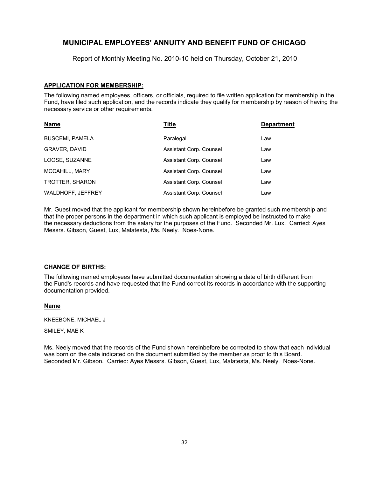Report of Monthly Meeting No. 2010-10 held on Thursday, October 21, 2010

#### **APPLICATION FOR MEMBERSHIP:**

The following named employees, officers, or officials, required to file written application for membership in the Fund, have filed such application, and the records indicate they qualify for membership by reason of having the necessary service or other requirements.

| <b>Name</b>            | Title                   | <b>Department</b> |
|------------------------|-------------------------|-------------------|
| <b>BUSCEMI, PAMELA</b> | Paralegal               | Law               |
| <b>GRAVER, DAVID</b>   | Assistant Corp. Counsel | Law               |
| LOOSE, SUZANNE         | Assistant Corp. Counsel | Law               |
| <b>MCCAHILL, MARY</b>  | Assistant Corp. Counsel | Law               |
| TROTTER, SHARON        | Assistant Corp. Counsel | Law               |
| WALDHOFF, JEFFREY      | Assistant Corp. Counsel | Law               |

Mr. Guest moved that the applicant for membership shown hereinbefore be granted such membership and that the proper persons in the department in which such applicant is employed be instructed to make the necessary deductions from the salary for the purposes of the Fund. Seconded Mr. Lux. Carried: Ayes Messrs. Gibson, Guest, Lux, Malatesta, Ms. Neely. Noes-None.

#### **CHANGE OF BIRTHS:**

The following named employees have submitted documentation showing a date of birth different from the Fund's records and have requested that the Fund correct its records in accordance with the supporting documentation provided.

#### **Name**

KNEEBONE, MICHAEL J

SMILEY, MAE K

Ms. Neely moved that the records of the Fund shown hereinbefore be corrected to show that each individual was born on the date indicated on the document submitted by the member as proof to this Board. Seconded Mr. Gibson. Carried: Ayes Messrs. Gibson, Guest, Lux, Malatesta, Ms. Neely. Noes-None.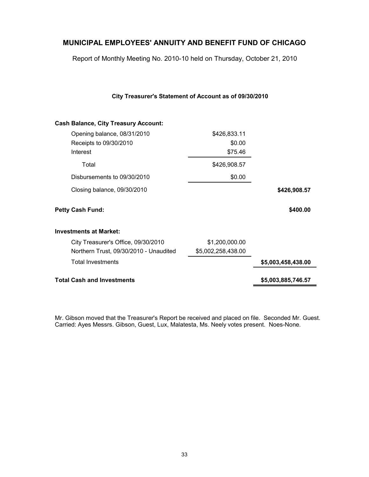Report of Monthly Meeting No. 2010-10 held on Thursday, October 21, 2010

**City Treasurer's Statement of Account as of 09/30/2010**

| <b>Cash Balance, City Treasury Account:</b> |                    |                    |
|---------------------------------------------|--------------------|--------------------|
| Opening balance, 08/31/2010                 | \$426,833.11       |                    |
| Receipts to 09/30/2010                      | \$0.00             |                    |
| Interest                                    | \$75.46            |                    |
| Total                                       | \$426,908.57       |                    |
| Disbursements to 09/30/2010                 | \$0.00             |                    |
| Closing balance, 09/30/2010                 |                    | \$426,908.57       |
| <b>Petty Cash Fund:</b>                     |                    | \$400.00           |
| <b>Investments at Market:</b>               |                    |                    |
| City Treasurer's Office, 09/30/2010         | \$1,200,000.00     |                    |
| Northern Trust, 09/30/2010 - Unaudited      | \$5,002,258,438.00 |                    |
| <b>Total Investments</b>                    |                    | \$5,003,458,438.00 |
| <b>Total Cash and Investments</b>           |                    | \$5,003,885,746.57 |
|                                             |                    |                    |

Mr. Gibson moved that the Treasurer's Report be received and placed on file. Seconded Mr. Guest. Carried: Ayes Messrs. Gibson, Guest, Lux, Malatesta, Ms. Neely votes present. Noes-None.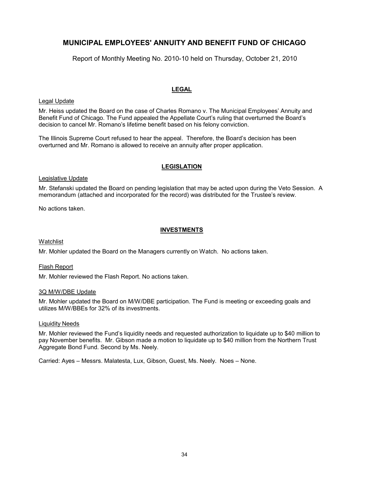Report of Monthly Meeting No. 2010-10 held on Thursday, October 21, 2010

#### **LEGAL**

#### Legal Update

Mr. Heiss updated the Board on the case of Charles Romano v. The Municipal Employees' Annuity and Benefit Fund of Chicago. The Fund appealed the Appellate Court's ruling that overturned the Board's decision to cancel Mr. Romano's lifetime benefit based on his felony conviction.

The Illinois Supreme Court refused to hear the appeal. Therefore, the Board's decision has been overturned and Mr. Romano is allowed to receive an annuity after proper application.

#### **LEGISLATION**

#### Legislative Update

Mr. Stefanski updated the Board on pending legislation that may be acted upon during the Veto Session. A memorandum (attached and incorporated for the record) was distributed for the Trustee's review.

No actions taken.

#### **INVESTMENTS**

#### **Watchlist**

Mr. Mohler updated the Board on the Managers currently on Watch. No actions taken.

#### Flash Report

Mr. Mohler reviewed the Flash Report. No actions taken.

#### 3Q M/W/DBE Update

Mr. Mohler updated the Board on M/W/DBE participation. The Fund is meeting or exceeding goals and utilizes M/W/BBEs for 32% of its investments.

#### Liquidity Needs

Mr. Mohler reviewed the Fund's liquidity needs and requested authorization to liquidate up to \$40 million to pay November benefits. Mr. Gibson made a motion to liquidate up to \$40 million from the Northern Trust Aggregate Bond Fund. Second by Ms. Neely.

Carried: Ayes – Messrs. Malatesta, Lux, Gibson, Guest, Ms. Neely. Noes – None.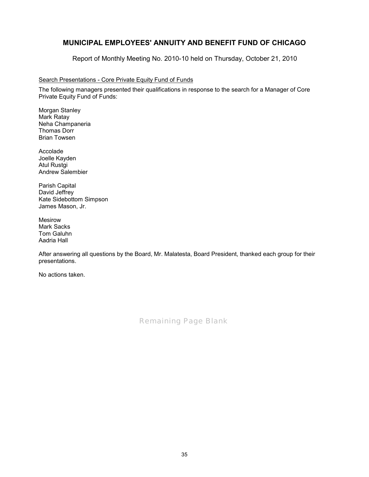Report of Monthly Meeting No. 2010-10 held on Thursday, October 21, 2010

#### Search Presentations - Core Private Equity Fund of Funds

The following managers presented their qualifications in response to the search for a Manager of Core Private Equity Fund of Funds:

Morgan Stanley Mark Ratay Neha Champaneria Thomas Dorr Brian Towsen

Accolade Joelle Kayden Atul Rustgi Andrew Salembier

Parish Capital David Jeffrey Kate Sidebottom Simpson James Mason, Jr.

Mesirow Mark Sacks Tom Galuhn Aadria Hall

After answering all questions by the Board, Mr. Malatesta, Board President, thanked each group for their presentations.

No actions taken.

*Remaining Page Blank*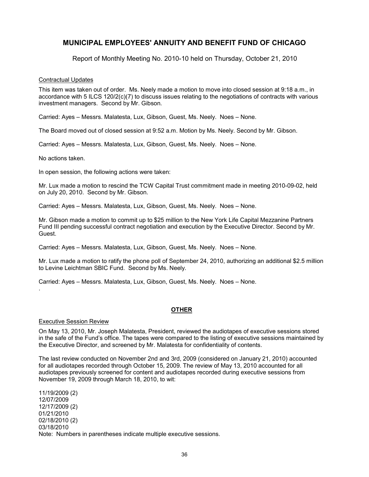Report of Monthly Meeting No. 2010-10 held on Thursday, October 21, 2010

#### Contractual Updates

This item was taken out of order. Ms. Neely made a motion to move into closed session at 9:18 a.m., in accordance with 5 ILCS 120/2(c)(7) to discuss issues relating to the negotiations of contracts with various investment managers. Second by Mr. Gibson.

Carried: Ayes – Messrs. Malatesta, Lux, Gibson, Guest, Ms. Neely. Noes – None.

The Board moved out of closed session at 9:52 a.m. Motion by Ms. Neely. Second by Mr. Gibson.

Carried: Ayes – Messrs. Malatesta, Lux, Gibson, Guest, Ms. Neely. Noes – None.

No actions taken.

In open session, the following actions were taken:

Mr. Lux made a motion to rescind the TCW Capital Trust commitment made in meeting 2010-09-02, held on July 20, 2010. Second by Mr. Gibson.

Carried: Ayes – Messrs. Malatesta, Lux, Gibson, Guest, Ms. Neely. Noes – None.

Mr. Gibson made a motion to commit up to \$25 million to the New York Life Capital Mezzanine Partners Fund III pending successful contract negotiation and execution by the Executive Director. Second by Mr. Guest.

Carried: Ayes – Messrs. Malatesta, Lux, Gibson, Guest, Ms. Neely. Noes – None.

Mr. Lux made a motion to ratify the phone poll of September 24, 2010, authorizing an additional \$2.5 million to Levine Leichtman SBIC Fund. Second by Ms. Neely.

Carried: Ayes – Messrs. Malatesta, Lux, Gibson, Guest, Ms. Neely. Noes – None.

#### **OTHER**

#### Executive Session Review

.

On May 13, 2010, Mr. Joseph Malatesta, President, reviewed the audiotapes of executive sessions stored in the safe of the Fund's office. The tapes were compared to the listing of executive sessions maintained by the Executive Director, and screened by Mr. Malatesta for confidentiality of contents.

The last review conducted on November 2nd and 3rd, 2009 (considered on January 21, 2010) accounted for all audiotapes recorded through October 15, 2009. The review of May 13, 2010 accounted for all audiotapes previously screened for content and audiotapes recorded during executive sessions from November 19, 2009 through March 18, 2010, to wit:

11/19/2009 (2) 12/07/2009 12/17/2009 (2) 01/21/2010 02/18/2010 (2) 03/18/2010 Note: Numbers in parentheses indicate multiple executive sessions.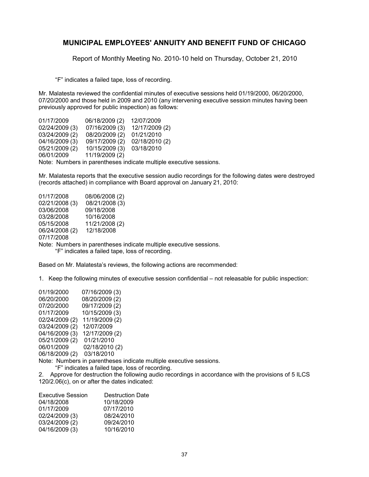Report of Monthly Meeting No. 2010-10 held on Thursday, October 21, 2010

"F" indicates a failed tape, loss of recording.

Mr. Malatesta reviewed the confidential minutes of executive sessions held 01/19/2000, 06/20/2000, 07/20/2000 and those held in 2009 and 2010 (any intervening executive session minutes having been previously approved for public inspection) as follows:

01/17/2009 06/18/2009 (2) 12/07/2009 02/24/2009 (3) 07/16/2009 (3) 12/17/2009 (2) 03/24/2009 (2) 08/20/2009 (2) 01/21/2010 04/16/2009 (3) 09/17/2009 (2) 02/18/2010 (2)<br>05/21/2009 (2) 10/15/2009 (3) 03/18/2010 05/21/2009 (2) 10/15/2009 (3) 03/18/2010<br>06/01/2009 11/19/2009 (2) 11/19/2009 (2) Note: Numbers in parentheses indicate multiple executive sessions.

Mr. Malatesta reports that the executive session audio recordings for the following dates were destroyed (records attached) in compliance with Board approval on January 21, 2010:

| 01/17/2008                                                         | 08/06/2008 (2) |  |  |  |
|--------------------------------------------------------------------|----------------|--|--|--|
| 02/21/2008 (3)                                                     | 08/21/2008 (3) |  |  |  |
| 03/06/2008                                                         | 09/18/2008     |  |  |  |
| 03/28/2008                                                         | 10/16/2008     |  |  |  |
| 05/15/2008                                                         | 11/21/2008 (2) |  |  |  |
| 06/24/2008 (2)                                                     | 12/18/2008     |  |  |  |
| 07/17/2008                                                         |                |  |  |  |
| Note: Numbers in parentheses indicate multiple executive sessions. |                |  |  |  |
| "F" indicates a failed tape, loss of recording.                    |                |  |  |  |

Based on Mr. Malatesta's reviews, the following actions are recommended:

1. Keep the following minutes of executive session confidential – not releasable for public inspection:

01/19/2000 07/16/2009 (3)<br>06/20/2000 08/20/2009 (2) 06/20/2000 08/20/2009 (2)<br>07/20/2000 09/17/2009 (2) 09/17/2009 (2) 01/17/2009 10/15/2009 (3) 02/24/2009 (2) 11/19/2009 (2) 03/24/2009 (2) 12/07/2009 04/16/2009 (3) 12/17/2009 (2) 05/21/2009 (2) 01/21/2010<br>06/01/2009 02/18/2010 02/18/2010 (2) 06/18/2009 (2) 03/18/2010

Note: Numbers in parentheses indicate multiple executive sessions.

"F" indicates a failed tape, loss of recording.

2. Approve for destruction the following audio recordings in accordance with the provisions of 5 ILCS 120/2.06(c), on or after the dates indicated:

| <b>Destruction Date</b> |
|-------------------------|
| 10/18/2009              |
| 07/17/2010              |
| 08/24/2010              |
| 09/24/2010              |
| 10/16/2010              |
|                         |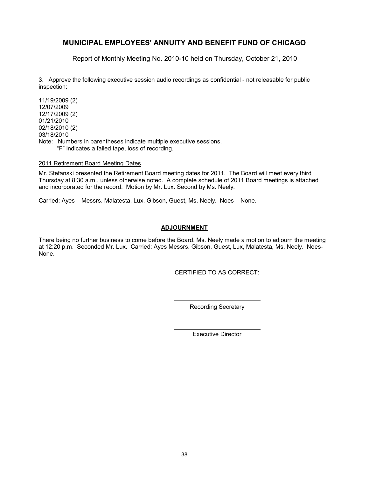Report of Monthly Meeting No. 2010-10 held on Thursday, October 21, 2010

3. Approve the following executive session audio recordings as confidential - not releasable for public inspection:

11/19/2009 (2) 12/07/2009 12/17/2009 (2) 01/21/2010 02/18/2010 (2) 03/18/2010 Note: Numbers in parentheses indicate multiple executive sessions. "F" indicates a failed tape, loss of recording.

#### 2011 Retirement Board Meeting Dates

Mr. Stefanski presented the Retirement Board meeting dates for 2011. The Board will meet every third Thursday at 8:30 a.m., unless otherwise noted. A complete schedule of 2011 Board meetings is attached and incorporated for the record. Motion by Mr. Lux. Second by Ms. Neely.

Carried: Ayes – Messrs. Malatesta, Lux, Gibson, Guest, Ms. Neely. Noes – None.

#### **ADJOURNMENT**

There being no further business to come before the Board, Ms. Neely made a motion to adjourn the meeting at 12:20 p.m. Seconded Mr. Lux. Carried: Ayes Messrs. Gibson, Guest, Lux, Malatesta, Ms. Neely. Noes-None.

CERTIFIED TO AS CORRECT:

Recording Secretary

Executive Director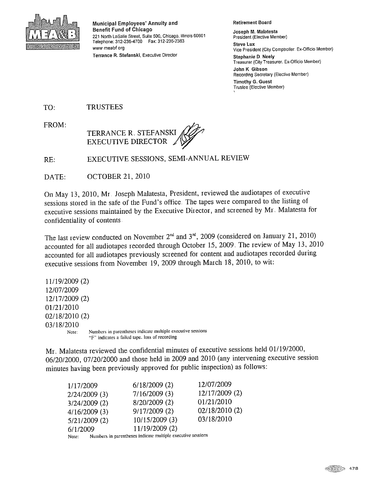

Municipal Employees' Annuity and **Benefit Fund of Chicago** 221 North LaSalle Street, Suite 500, Chicago, Illinois 60601 Telephone: 312-236-4700 Fax: 312-236-2383 www meabf ord Terrance R. Stefanski, Executive Director

#### **Retirement Board**

Joseph M. Malatesta President (Elective Member) **Steve Lux** Vice President (City Comptroller, Ex-Officio Member) **Stephanie D. Neely** Treasurer (City Treasurer. Ex-Officio Member) John K. Gibson Recording Secretary (Elective Member) **Timothy G. Guest** Trustee (Elective Member)

TO: **TRUSTEES** 

FROM:



EXECUTIVE SESSIONS, SEMI-ANNUAL REVIEW RE:

DATE: **OCTOBER 21, 2010** 

On May 13, 2010, Mr. Joseph Malatesta, President, reviewed the audiotapes of executive sessions stored in the safe of the Fund's office. The tapes were compared to the listing of executive sessions maintained by the Executive Director, and screened by Mr. Malatesta for confidentiality of contents

The last review conducted on November  $2^{nd}$  and  $3^{rd}$ , 2009 (considered on January 21, 2010) accounted for all audiotapes recorded through October 15, 2009. The review of May 13, 2010 accounted for all audiotapes previously screened for content and audiotapes recorded during executive sessions from November 19, 2009 through March 18, 2010, to wit:

11/19/2009 (2) 12/07/2009 12/17/2009 (2) 01/21/2010  $02/18/2010(2)$ 03/18/2010 Numbers in parentheses indicate multiple executive sessions Note: "F" indicates a failed tape. loss of recording

Mr. Malatesta reviewed the confidential minutes of executive sessions held 01/19/2000, 06/20/2000, 07/20/2000 and those held in 2009 and 2010 (any intervening executive session minutes having been previously approved for public inspection) as follows:

| 1/17/2009       | $6/18/2009$ (2) | 12/07/2009     |
|-----------------|-----------------|----------------|
| $2/24/2009$ (3) | 7/16/2009(3)    | 12/17/2009 (2) |
| 3/24/2009(2)    | 8/20/2009 (2)   | 01/21/2010     |
| $4/16/2009$ (3) | 9/17/2009(2)    | 02/18/2010(2)  |
| 5/21/2009(2)    | 10/15/2009 (3)  | 03/18/2010     |
| 6/1/2009        | 11/19/2009 (2)  |                |
|                 |                 |                |

Numbers in parentheses indicate multiple executive sessions Note: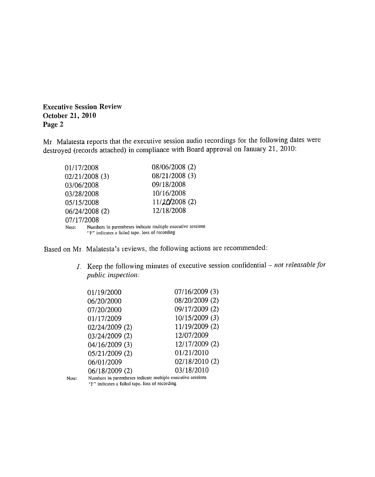**Executive Session Review** October 21, 2010 Page 2

Mr. Malatesta reports that the executive session audio recordings for the following dates were destroyed (records attached) in compliance with Board approval on January 21, 2010:

| 01/17/2008                                                                                                             | 08/06/2008 (2) |  |
|------------------------------------------------------------------------------------------------------------------------|----------------|--|
| 02/21/2008 (3)                                                                                                         | 08/21/2008 (3) |  |
| 03/06/2008                                                                                                             | 09/18/2008     |  |
| 03/28/2008                                                                                                             | 10/16/2008     |  |
| 05/15/2008                                                                                                             | 11/20/2008 (2) |  |
| 06/24/2008 (2)                                                                                                         | 12/18/2008     |  |
| 07/17/2008                                                                                                             |                |  |
| Numbers in parentheses indicate multiple executive sessions<br>Note.<br>"F" indicates a failed tape, loss of recording |                |  |

Based on Mr. Malatesta's reviews, the following actions are recommended:

1. Keep the following minutes of executive session confidential - not releasable for public inspection:

| 01/19/2000     | 07/16/2009 (3) |
|----------------|----------------|
| 06/20/2000     | 08/20/2009 (2) |
| 07/20/2000     | 09/17/2009 (2) |
| 01/17/2009     | 10/15/2009 (3) |
| 02/24/2009 (2) | 11/19/2009 (2) |
| 03/24/2009 (2) | 12/07/2009     |
| 04/16/2009 (3) | 12/17/2009 (2) |
| 05/21/2009(2)  | 01/21/2010     |
| 06/01/2009     | 02/18/2010 (2) |
| 06/18/2009 (2) | 03/18/2010     |

Note:

Numbers in parentheses indicate multiple executive sessions "F" indicates a failed tape. loss of recording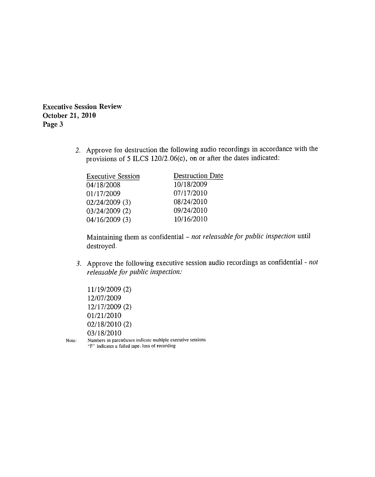**Executive Session Review** October 21, 2010 Page 3

> 2. Approve for destruction the following audio recordings in accordance with the provisions of 5 ILCS 120/2.06(c), on or after the dates indicated:

| <b>Destruction Date</b> |  |
|-------------------------|--|
| 10/18/2009              |  |
| 07/17/2010              |  |
| 08/24/2010              |  |
| 09/24/2010              |  |
| 10/16/2010              |  |
|                         |  |

Maintaining them as confidential - not releasable for public inspection until destroyed.

3. Approve the following executive session audio recordings as confidential - not releasable for public inspection:

11/19/2009 (2) 12/07/2009 12/17/2009 (2) 01/21/2010  $02/18/2010(2)$ 03/18/2010

Numbers in parentheses indicate multiple executive sessions Note: "F" indicates a failed tape. loss of recording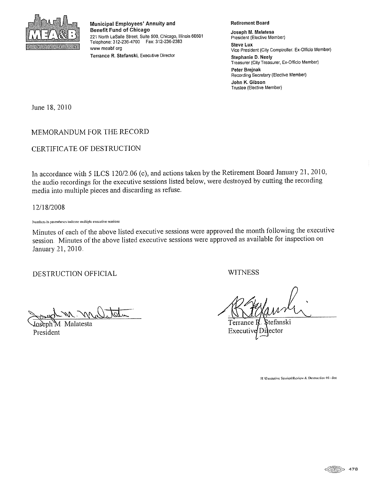

Municipal Employees' Annuity and Benefit Fund of Chicago 221 North LaSalle Street, Suite 500, Chicago, Illinois 60601 Telephone: 312-236-4700 Fax: 312-236-2383 www meabf org Terrance R. Stefanski, Executive Director

#### **Retirement Board**

Joseph M. Malatesa President (Elective Member) **Steve Lux** Vice President (City Comptroller, Ex-Officio Member) **Stephanie D. Neely** Treasurer (City Treasurer, Ex-Officio Member) Peter Brejnak Recording Secretary (Elective Member) John K. Gibson Trustee (Elective Member)

June 18, 2010

### MEMORANDUM FOR THE RECORD

### CERTIFICATE OF DESTRUCTION

In accordance with 5 ILCS 120/2.06 (c), and actions taken by the Retirement Board January 21, 2010, the audio recordings for the executive sessions listed below, were destroyed by cutting the recording media into multiple pieces and discarding as refuse.

12/18/2008

Numbers in parentheses indicate multiple executive sessions

Minutes of each of the above listed executive sessions were approved the month following the executive session. Minutes of the above listed executive sessions were approved as available for inspection on January 21, 2010.

DESTRUCTION OFFICIAL

Malatesta President

**WITNESS** 

tefanski Terrance ector Executi

HAExecutive Session\Review & Destruction 01- doc

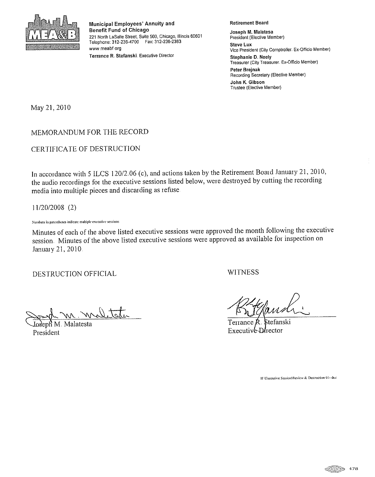

Municipal Employees' Annuity and **Benefit Fund of Chicago** 221 North LaSalle Street, Suite 500, Chicago, Illinois 60601 Telephone: 312-236-4700 Fax: 312-236-2383 www meabf org Terrance R. Stefanski. Executive Director

**Retirement Board** 

Joseph M. Malatesa President (Elective Member) **Steve Lux** Vice President (City Comptroller. Ex-Officio Member) Stephanie D. Neely Treasurer (City Treasurer. Ex-Officio Member) Peter Brejnak Recording Secretary (Elective Member) John K. Gibson Trustee (Elective Member)

May 21, 2010

MEMORANDUM FOR THE RECORD

CERTIFICATE OF DESTRUCTION

In accordance with 5 ILCS 120/2.06 (c), and actions taken by the Retirement Board January 21, 2010, the audio recordings for the executive sessions listed below, were destroyed by cutting the recording media into multiple pieces and discarding as refuse

 $11/20/2008$  (2)

Numbers in parentheses indicate multiple executive sessions

Minutes of each of the above listed executive sessions were approved the month following the executive session. Minutes of the above listed executive sessions were approved as available for inspection on January 21, 2010.

DESTRUCTION OFFICIAL

nel tete

Malatesta President

**WITNESS** 

tefanski Executive Director

HAExecutive SessionMeview & Destruction 01- doc

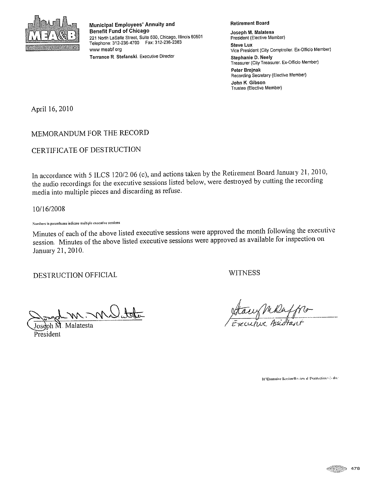

Municipal Employees' Annuity and **Benefit Fund of Chicago** 221 North LaSalle Street, Suite 500, Chicago, Illinois 60601 Telephone: 312-236-4700 Fax: 312-236-2383 www meabf org Terrance R. Stefanski. Executive Director

**Retirement Board** 

Joseph M. Malatesa President (Elective Member) **Steve Lux** Vice President (City Comptroller. Ex-Officio Member) Stephanie D. Neely Treasurer (City Treasurer. Ex-Officio Member) Peter Brejnak Recording Secretary (Elective Member) John K. Gibson Trustee (Elective Member)

April 16, 2010

MEMORANDUM FOR THE RECORD

CERTIFICATE OF DESTRUCTION

In accordance with 5 ILCS 120/2.06 (c), and actions taken by the Retirement Board January 21, 2010, the audio recordings for the executive sessions listed below, were destroyed by cutting the recording media into multiple pieces and discarding as refuse.

10/16/2008

Numbers in parentheses indicate multiple executive sessions

Minutes of each of the above listed executive sessions were approved the month following the executive session. Minutes of the above listed executive sessions were approved as available for inspection on January 21, 2010.

DESTRUCTION OFFICIAL

**WITNESS** 

m. m Vitte

Malatesta President

Staw Mikefplo

HAExecutive Session\Rvidew & Destruction (4) - doc

 $\circ$  478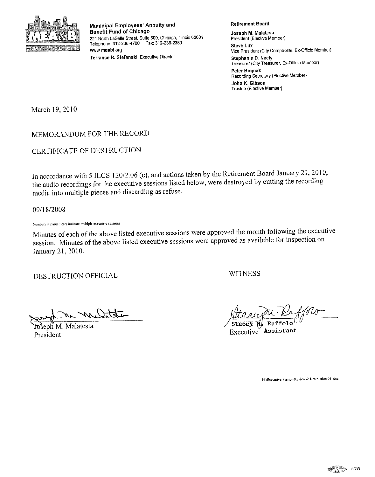

Municipal Employees' Annuity and **Benefit Fund of Chicago** 221 North LaSalle Street, Suite 500, Chicago, Illinois 60601 Telephone: 312-236-4700 Fax: 312-236-2383 www meabf org Terrance R. Stefanski, Executive Director

**Retirement Board** 

Joseph M. Malatesa President (Elective Member) **Steve Lux** Vice President (City Comptroller. Ex-Officio Member) **Stephanie D. Neely** Treasurer (City Treasurer, Ex-Officio Member) Peter Brejnak Recording Secretary (Elective Member) John K. Gibson Trustee (Elective Member)

March 19, 2010

### MEMORANDUM FOR THE RECORD

CERTIFICATE OF DESTRUCTION

In accordance with 5 ILCS 120/2.06 (c), and actions taken by the Retirement Board January 21, 2010, the audio recordings for the executive sessions listed below, were destroyed by cutting the recording media into multiple pieces and discarding as refuse.

09/18/2008

Numbers in parentheses indicate multiple executive sessions

Minutes of each of the above listed executive sessions were approved the month following the executive session. Minutes of the above listed executive sessions were approved as available for inspection on January 21, 2010.

DESTRUCTION OFFICIAL

**WITNESS** 

Malatesta President

Executive Assistant

HAExecutive Session\Review & Destruction 01- doc

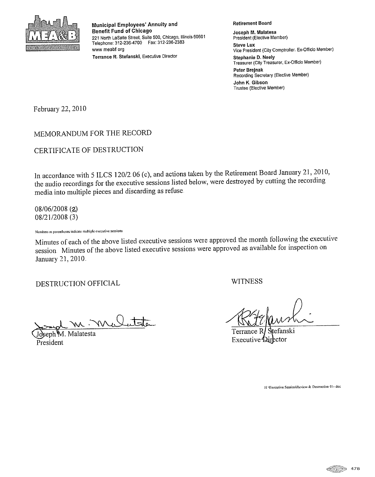

Municipal Employees' Annuity and **Benefit Fund of Chicago** 221 North LaSaile Street, Suite 500, Chicago, Illinois 60601 Telephone: 312-236-4700 Fax: 312-236-2383 www meabf org

Terrance R. Stefanski, Executive Director

**Retirement Board** 

Joseph M. Malatesa President (Elective Member) **Steve Lux** Vice President (City Comptroller. Ex-Officio Member) Stephanie D. Neely Treasurer (City Treasurer, Ex-Officio Member) Peter Brejnak Recording Secretary (Elective Member) John K. Gibson Trustee (Elective Member)

February 22, 2010

## MEMORANDUM FOR THE RECORD

CERTIFICATE OF DESTRUCTION

In accordance with 5 ILCS 120/2.06 (c), and actions taken by the Retirement Board January 21, 2010, the audio recordings for the executive sessions listed below, were destroyed by cutting the recording media into multiple pieces and discarding as refuse.

08/06/2008 (2) 08/21/2008 (3)

Numbers in parentheses indicate multiple executive sessions

Minutes of each of the above listed executive sessions were approved the month following the executive session. Minutes of the above listed executive sessions were approved as available for inspection on January 21, 2010.

DESTRUCTION OFFICIAL

WITNESS

m. Ma

seph<sup>Y</sup>M. Malatesta President

tefanski Terrance I **Executive Director** 

HAExecutive Session\Review & Destruction 01- doc